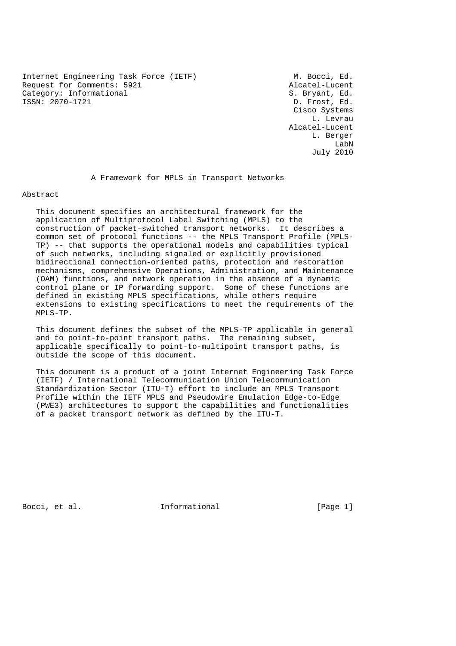Internet Engineering Task Force (IETF) M. Bocci, Ed. Request for Comments: 5921 Alcatel-Lucent Category: Informational S. Bryant, Ed. ISSN: 2070-1721 D. Frost, Ed.

 Cisco Systems L. Levrau Alcatel-Lucent L. Berger LabN July 2010

A Framework for MPLS in Transport Networks

Abstract

 This document specifies an architectural framework for the application of Multiprotocol Label Switching (MPLS) to the construction of packet-switched transport networks. It describes a common set of protocol functions -- the MPLS Transport Profile (MPLS- TP) -- that supports the operational models and capabilities typical of such networks, including signaled or explicitly provisioned bidirectional connection-oriented paths, protection and restoration mechanisms, comprehensive Operations, Administration, and Maintenance (OAM) functions, and network operation in the absence of a dynamic control plane or IP forwarding support. Some of these functions are defined in existing MPLS specifications, while others require extensions to existing specifications to meet the requirements of the MPLS-TP.

 This document defines the subset of the MPLS-TP applicable in general and to point-to-point transport paths. The remaining subset, applicable specifically to point-to-multipoint transport paths, is outside the scope of this document.

 This document is a product of a joint Internet Engineering Task Force (IETF) / International Telecommunication Union Telecommunication Standardization Sector (ITU-T) effort to include an MPLS Transport Profile within the IETF MPLS and Pseudowire Emulation Edge-to-Edge (PWE3) architectures to support the capabilities and functionalities of a packet transport network as defined by the ITU-T.

Bocci, et al. Informational [Page 1]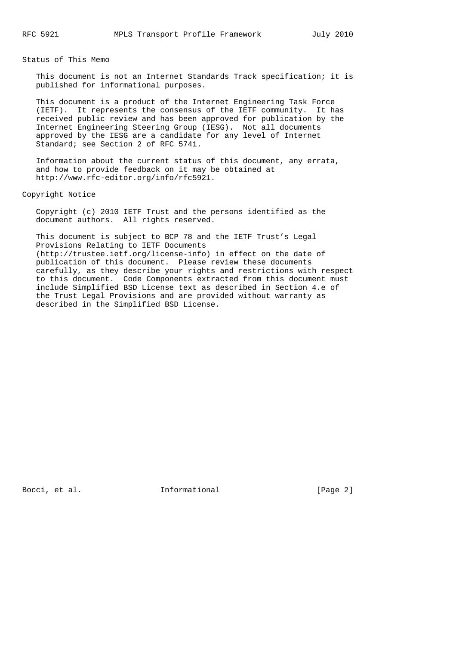Status of This Memo

 This document is not an Internet Standards Track specification; it is published for informational purposes.

 This document is a product of the Internet Engineering Task Force (IETF). It represents the consensus of the IETF community. It has received public review and has been approved for publication by the Internet Engineering Steering Group (IESG). Not all documents approved by the IESG are a candidate for any level of Internet Standard; see Section 2 of RFC 5741.

 Information about the current status of this document, any errata, and how to provide feedback on it may be obtained at http://www.rfc-editor.org/info/rfc5921.

Copyright Notice

 Copyright (c) 2010 IETF Trust and the persons identified as the document authors. All rights reserved.

 This document is subject to BCP 78 and the IETF Trust's Legal Provisions Relating to IETF Documents (http://trustee.ietf.org/license-info) in effect on the date of publication of this document. Please review these documents carefully, as they describe your rights and restrictions with respect to this document. Code Components extracted from this document must include Simplified BSD License text as described in Section 4.e of the Trust Legal Provisions and are provided without warranty as described in the Simplified BSD License.

Bocci, et al. **Informational** [Page 2]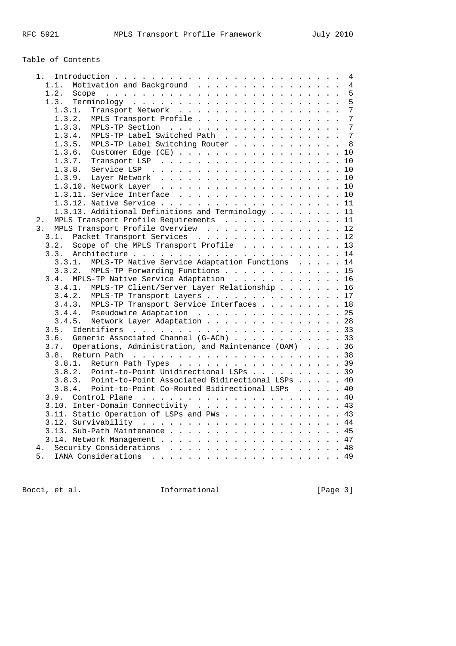# Table of Contents

| 1.                                                                         |  |  | 4              |
|----------------------------------------------------------------------------|--|--|----------------|
| Motivation and Background<br>1.1.                                          |  |  | $\overline{4}$ |
| 1.2.                                                                       |  |  | 5              |
| 1.3.                                                                       |  |  | 5              |
| 1.3.1.<br>Transport Network                                                |  |  | $\overline{7}$ |
| MPLS Transport Profile<br>1.3.2.                                           |  |  | 7              |
| 1.3.3.                                                                     |  |  | 7              |
| MPLS-TP Label Switched Path<br>1.3.4.                                      |  |  | 7              |
| 1.3.5.<br>MPLS-TP Label Switching Router                                   |  |  | 8              |
| 1.3.6. Customer Edge (CE)                                                  |  |  | $10$           |
| 1.3.7.                                                                     |  |  | 10             |
|                                                                            |  |  | 10             |
| 1.3.9.                                                                     |  |  | 10             |
| 1.3.10. Network Layer<br>a carra carra carra carra carra carra carra carra |  |  | 10             |
| 1.3.11. Service Interface                                                  |  |  | 10             |
|                                                                            |  |  |                |
| 1.3.13. Additional Definitions and Terminology                             |  |  | 11             |
| MPLS Transport Profile Requirements<br>$2$ .                               |  |  | 11             |
| MPLS Transport Profile Overview<br>3.                                      |  |  | 12             |
| Packet Transport Services 12<br>3.1.                                       |  |  |                |
|                                                                            |  |  |                |
| Scope of the MPLS Transport Profile 13<br>3.2.                             |  |  |                |
| 3.3.                                                                       |  |  | 14             |
| MPLS-TP Native Service Adaptation Functions 14<br>3.3.1.                   |  |  |                |
| MPLS-TP Forwarding Functions 15<br>3.3.2.                                  |  |  |                |
| MPLS-TP Native Service Adaptation 16<br>3.4.                               |  |  |                |
| MPLS-TP Client/Server Layer Relationship 16<br>3.4.1.                      |  |  |                |
| 3.4.2.<br>MPLS-TP Transport Layers 17                                      |  |  |                |
| 3.4.3. MPLS-TP Transport Service Interfaces                                |  |  | 18             |
| 3.4.4. Pseudowire Adaptation 25                                            |  |  |                |
| Network Layer Adaptation<br>3.4.5.                                         |  |  | 28             |
| 3.5.                                                                       |  |  |                |
| Generic Associated Channel (G-ACh) 33<br>3.6.                              |  |  |                |
| Operations, Administration, and Maintenance (OAM) 36<br>3.7.               |  |  |                |
| 3.8.                                                                       |  |  |                |
| 3.8.1.<br>Return Path Types 39                                             |  |  |                |
| Point-to-Point Unidirectional LSPs 39<br>3.8.2.                            |  |  |                |
| Point-to-Point Associated Bidirectional LSPs<br>3.8.3.                     |  |  | 40             |
| Point-to-Point Co-Routed Bidirectional LSPs<br>3.8.4.                      |  |  | 40             |
| 3.9.                                                                       |  |  |                |
| 3.10. Inter-Domain Connectivity                                            |  |  | 43             |
| 3.11. Static Operation of LSPs and PWs                                     |  |  | 43             |
|                                                                            |  |  |                |
| 3.13. Sub-Path Maintenance 45                                              |  |  |                |
|                                                                            |  |  | 47             |
| 4.                                                                         |  |  | 48             |
| 5.                                                                         |  |  |                |

Bocci, et al. 11. Informational 1999 [Page 3]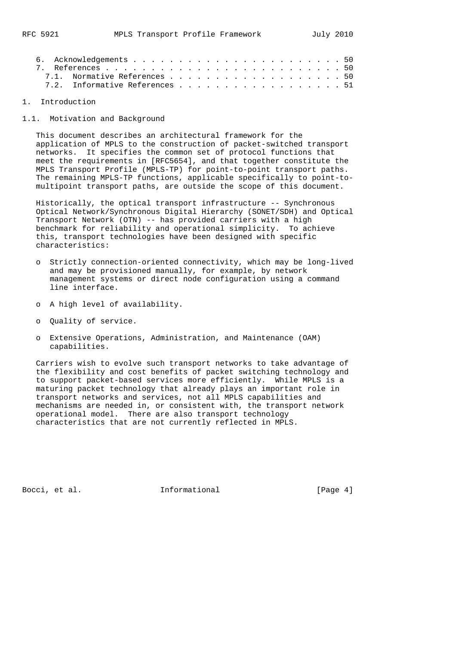|  | 7.1. Normative References 50   |  |  |  |  |  |  |  |  |  |  |  |  |
|--|--------------------------------|--|--|--|--|--|--|--|--|--|--|--|--|
|  | 7.2. Informative References 51 |  |  |  |  |  |  |  |  |  |  |  |  |

### 1. Introduction

1.1. Motivation and Background

 This document describes an architectural framework for the application of MPLS to the construction of packet-switched transport networks. It specifies the common set of protocol functions that meet the requirements in [RFC5654], and that together constitute the MPLS Transport Profile (MPLS-TP) for point-to-point transport paths. The remaining MPLS-TP functions, applicable specifically to point-to multipoint transport paths, are outside the scope of this document.

 Historically, the optical transport infrastructure -- Synchronous Optical Network/Synchronous Digital Hierarchy (SONET/SDH) and Optical Transport Network (OTN) -- has provided carriers with a high benchmark for reliability and operational simplicity. To achieve this, transport technologies have been designed with specific characteristics:

- o Strictly connection-oriented connectivity, which may be long-lived and may be provisioned manually, for example, by network management systems or direct node configuration using a command line interface.
- o A high level of availability.
- o Quality of service.
- o Extensive Operations, Administration, and Maintenance (OAM) capabilities.

 Carriers wish to evolve such transport networks to take advantage of the flexibility and cost benefits of packet switching technology and to support packet-based services more efficiently. While MPLS is a maturing packet technology that already plays an important role in transport networks and services, not all MPLS capabilities and mechanisms are needed in, or consistent with, the transport network operational model. There are also transport technology characteristics that are not currently reflected in MPLS.

Bocci, et al. **Informational** [Page 4]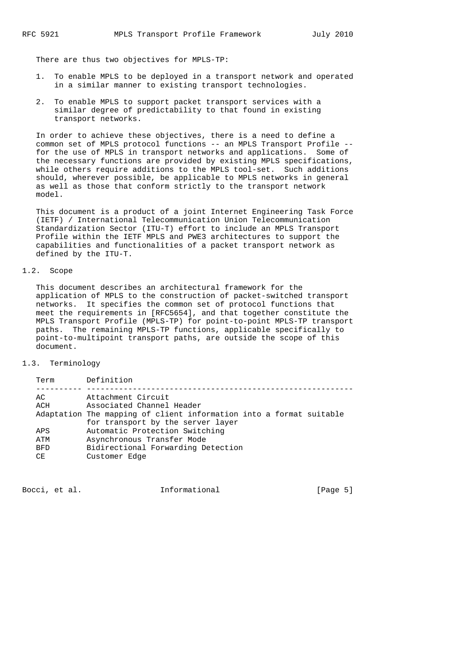There are thus two objectives for MPLS-TP:

- 1. To enable MPLS to be deployed in a transport network and operated in a similar manner to existing transport technologies.
- 2. To enable MPLS to support packet transport services with a similar degree of predictability to that found in existing transport networks.

 In order to achieve these objectives, there is a need to define a common set of MPLS protocol functions -- an MPLS Transport Profile - for the use of MPLS in transport networks and applications. Some of the necessary functions are provided by existing MPLS specifications, while others require additions to the MPLS tool-set. Such additions should, wherever possible, be applicable to MPLS networks in general as well as those that conform strictly to the transport network model.

 This document is a product of a joint Internet Engineering Task Force (IETF) / International Telecommunication Union Telecommunication Standardization Sector (ITU-T) effort to include an MPLS Transport Profile within the IETF MPLS and PWE3 architectures to support the capabilities and functionalities of a packet transport network as defined by the ITU-T.

### 1.2. Scope

 This document describes an architectural framework for the application of MPLS to the construction of packet-switched transport networks. It specifies the common set of protocol functions that meet the requirements in [RFC5654], and that together constitute the MPLS Transport Profile (MPLS-TP) for point-to-point MPLS-TP transport paths. The remaining MPLS-TP functions, applicable specifically to point-to-multipoint transport paths, are outside the scope of this document.

#### 1.3. Terminology

| Term       | Definition                                                          |
|------------|---------------------------------------------------------------------|
| AC.<br>ACH | Attachment Circuit<br>Associated Channel Header                     |
|            | Adaptation The mapping of client information into a format suitable |
|            | for transport by the server layer                                   |
| APS        | Automatic Protection Switching                                      |
| ATM        | Asynchronous Transfer Mode                                          |
| <b>BFD</b> | Bidirectional Forwarding Detection                                  |
| CЕ         | Customer Edge                                                       |
|            |                                                                     |

Bocci, et al. **Informational** [Page 5]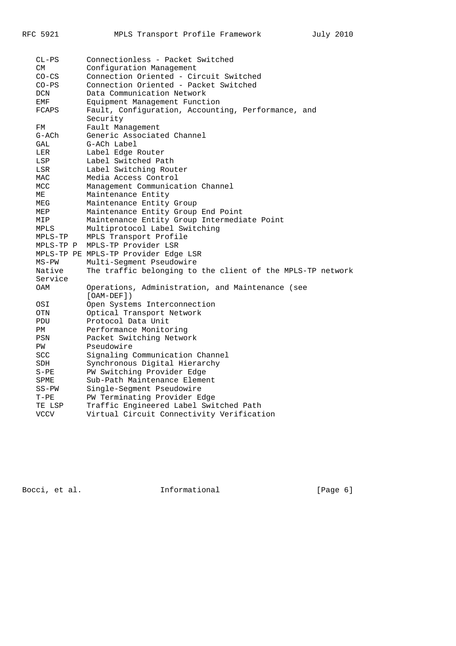| $CL-PS$          | Connectionless - Packet Switched                           |
|------------------|------------------------------------------------------------|
| CM.              | Configuration Management                                   |
| $CO-CS$          | Connection Oriented - Circuit Switched                     |
| $CO-PS$          | Connection Oriented - Packet Switched                      |
| DCN              | Data Communication Network                                 |
| EMF              | Equipment Management Function                              |
| FCAPS            | Fault, Configuration, Accounting, Performance, and         |
|                  | Security                                                   |
| FM               | Fault Management                                           |
| $G-ACh$          | Generic Associated Channel                                 |
| GAL              | G-ACh Label                                                |
| LER              | Label Edge Router                                          |
| LSP              | Label Switched Path                                        |
| LSR              | Label Switching Router                                     |
| MAC              | Media Access Control                                       |
| MCC              | Management Communication Channel                           |
| МE               | Maintenance Entity                                         |
| MEG              | Maintenance Entity Group                                   |
| MEP              | Maintenance Entity Group End Point                         |
| MIP              | Maintenance Entity Group Intermediate Point                |
| MPLS             | Multiprotocol Label Switching                              |
| MPLS-TP          | MPLS Transport Profile                                     |
| MPLS-TP P        | MPLS-TP Provider LSR                                       |
|                  | MPLS-TP PE MPLS-TP Provider Edge LSR                       |
| $MS-PW$          | Multi-Segment Pseudowire                                   |
| Native           | The traffic belonging to the client of the MPLS-TP network |
| Service          |                                                            |
| OAM              | Operations, Administration, and Maintenance (see           |
|                  | $[OAM-DEF]$ )                                              |
| OSI              | Open Systems Interconnection                               |
| OTN              | Optical Transport Network                                  |
| PDU              | Protocol Data Unit                                         |
| PM               | Performance Monitoring                                     |
| PSN              | Packet Switching Network                                   |
| PW               | Pseudowire                                                 |
| <b>SCC</b>       | Signaling Communication Channel                            |
| SDH              | Synchronous Digital Hierarchy                              |
| $S-PE$           | PW Switching Provider Edge<br>Sub-Path Maintenance Element |
| SPME             |                                                            |
| $SS-PW$          | Single-Segment Pseudowire<br>PW Terminating Provider Edge  |
| $T-PE$<br>TE LSP | Traffic Engineered Label Switched Path                     |
| <b>VCCV</b>      | Virtual Circuit Connectivity Verification                  |
|                  |                                                            |

Bocci, et al. 10 methormational 1999 [Page 6]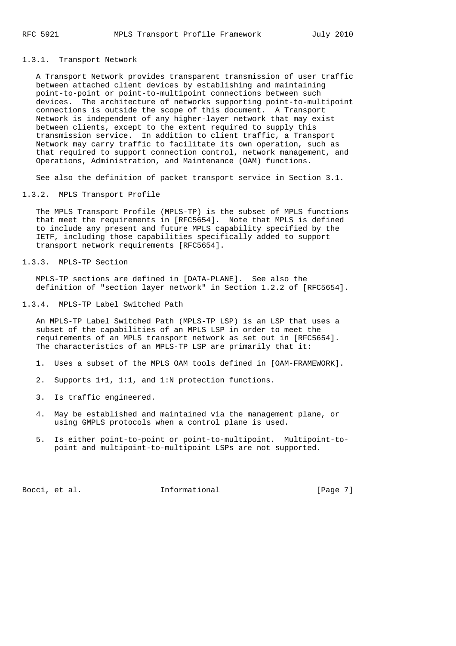#### 1.3.1. Transport Network

 A Transport Network provides transparent transmission of user traffic between attached client devices by establishing and maintaining point-to-point or point-to-multipoint connections between such devices. The architecture of networks supporting point-to-multipoint connections is outside the scope of this document. A Transport Network is independent of any higher-layer network that may exist between clients, except to the extent required to supply this transmission service. In addition to client traffic, a Transport Network may carry traffic to facilitate its own operation, such as that required to support connection control, network management, and Operations, Administration, and Maintenance (OAM) functions.

See also the definition of packet transport service in Section 3.1.

#### 1.3.2. MPLS Transport Profile

 The MPLS Transport Profile (MPLS-TP) is the subset of MPLS functions that meet the requirements in [RFC5654]. Note that MPLS is defined to include any present and future MPLS capability specified by the IETF, including those capabilities specifically added to support transport network requirements [RFC5654].

### 1.3.3. MPLS-TP Section

 MPLS-TP sections are defined in [DATA-PLANE]. See also the definition of "section layer network" in Section 1.2.2 of [RFC5654].

#### 1.3.4. MPLS-TP Label Switched Path

 An MPLS-TP Label Switched Path (MPLS-TP LSP) is an LSP that uses a subset of the capabilities of an MPLS LSP in order to meet the requirements of an MPLS transport network as set out in [RFC5654]. The characteristics of an MPLS-TP LSP are primarily that it:

- 1. Uses a subset of the MPLS OAM tools defined in [OAM-FRAMEWORK].
- 2. Supports 1+1, 1:1, and 1:N protection functions.
- 3. Is traffic engineered.
- 4. May be established and maintained via the management plane, or using GMPLS protocols when a control plane is used.
- 5. Is either point-to-point or point-to-multipoint. Multipoint-to point and multipoint-to-multipoint LSPs are not supported.

Bocci, et al. **Informational** [Page 7]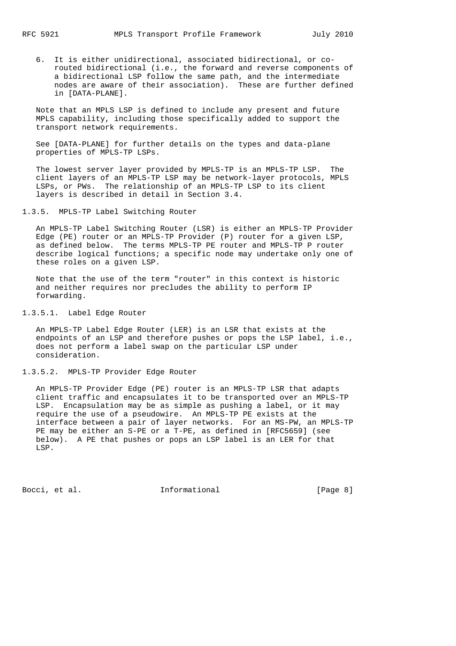6. It is either unidirectional, associated bidirectional, or co routed bidirectional (i.e., the forward and reverse components of a bidirectional LSP follow the same path, and the intermediate nodes are aware of their association). These are further defined in [DATA-PLANE].

 Note that an MPLS LSP is defined to include any present and future MPLS capability, including those specifically added to support the transport network requirements.

 See [DATA-PLANE] for further details on the types and data-plane properties of MPLS-TP LSPs.

 The lowest server layer provided by MPLS-TP is an MPLS-TP LSP. The client layers of an MPLS-TP LSP may be network-layer protocols, MPLS LSPs, or PWs. The relationship of an MPLS-TP LSP to its client layers is described in detail in Section 3.4.

1.3.5. MPLS-TP Label Switching Router

 An MPLS-TP Label Switching Router (LSR) is either an MPLS-TP Provider Edge (PE) router or an MPLS-TP Provider (P) router for a given LSP, as defined below. The terms MPLS-TP PE router and MPLS-TP P router describe logical functions; a specific node may undertake only one of these roles on a given LSP.

 Note that the use of the term "router" in this context is historic and neither requires nor precludes the ability to perform IP forwarding.

1.3.5.1. Label Edge Router

 An MPLS-TP Label Edge Router (LER) is an LSR that exists at the endpoints of an LSP and therefore pushes or pops the LSP label, i.e., does not perform a label swap on the particular LSP under consideration.

### 1.3.5.2. MPLS-TP Provider Edge Router

 An MPLS-TP Provider Edge (PE) router is an MPLS-TP LSR that adapts client traffic and encapsulates it to be transported over an MPLS-TP LSP. Encapsulation may be as simple as pushing a label, or it may require the use of a pseudowire. An MPLS-TP PE exists at the interface between a pair of layer networks. For an MS-PW, an MPLS-TP PE may be either an S-PE or a T-PE, as defined in [RFC5659] (see below). A PE that pushes or pops an LSP label is an LER for that LSP.

Bocci, et al. 1nformational [Page 8]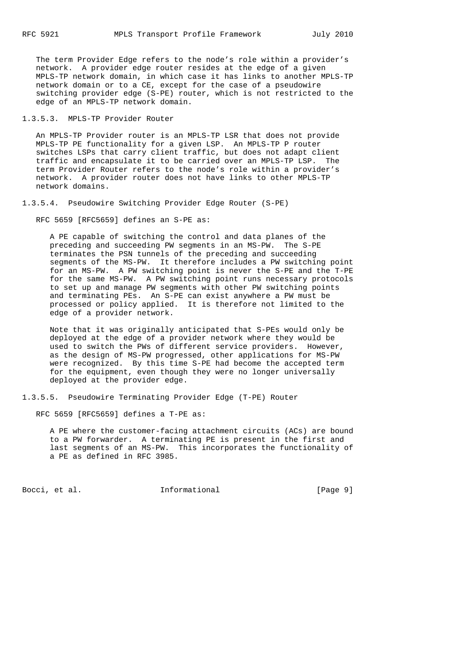The term Provider Edge refers to the node's role within a provider's network. A provider edge router resides at the edge of a given MPLS-TP network domain, in which case it has links to another MPLS-TP network domain or to a CE, except for the case of a pseudowire switching provider edge (S-PE) router, which is not restricted to the edge of an MPLS-TP network domain.

1.3.5.3. MPLS-TP Provider Router

 An MPLS-TP Provider router is an MPLS-TP LSR that does not provide MPLS-TP PE functionality for a given LSP. An MPLS-TP P router switches LSPs that carry client traffic, but does not adapt client traffic and encapsulate it to be carried over an MPLS-TP LSP. The term Provider Router refers to the node's role within a provider's network. A provider router does not have links to other MPLS-TP network domains.

1.3.5.4. Pseudowire Switching Provider Edge Router (S-PE)

RFC 5659 [RFC5659] defines an S-PE as:

 A PE capable of switching the control and data planes of the preceding and succeeding PW segments in an MS-PW. The S-PE terminates the PSN tunnels of the preceding and succeeding segments of the MS-PW. It therefore includes a PW switching point for an MS-PW. A PW switching point is never the S-PE and the T-PE for the same MS-PW. A PW switching point runs necessary protocols to set up and manage PW segments with other PW switching points and terminating PEs. An S-PE can exist anywhere a PW must be processed or policy applied. It is therefore not limited to the edge of a provider network.

 Note that it was originally anticipated that S-PEs would only be deployed at the edge of a provider network where they would be used to switch the PWs of different service providers. However, as the design of MS-PW progressed, other applications for MS-PW were recognized. By this time S-PE had become the accepted term for the equipment, even though they were no longer universally deployed at the provider edge.

1.3.5.5. Pseudowire Terminating Provider Edge (T-PE) Router

RFC 5659 [RFC5659] defines a T-PE as:

 A PE where the customer-facing attachment circuits (ACs) are bound to a PW forwarder. A terminating PE is present in the first and last segments of an MS-PW. This incorporates the functionality of a PE as defined in RFC 3985.

Bocci, et al. **Informational** [Page 9]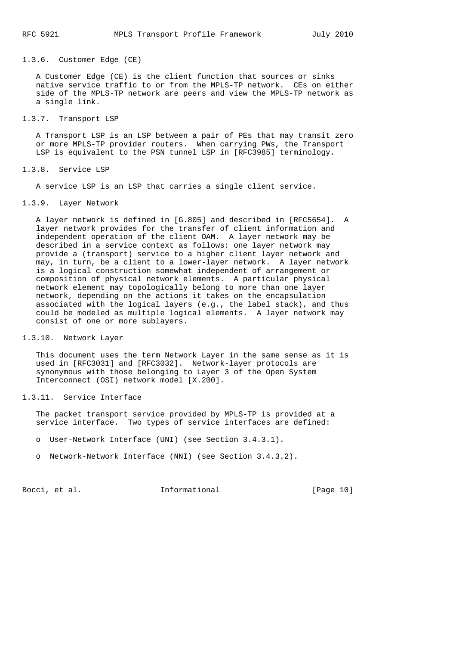#### 1.3.6. Customer Edge (CE)

 A Customer Edge (CE) is the client function that sources or sinks native service traffic to or from the MPLS-TP network. CEs on either side of the MPLS-TP network are peers and view the MPLS-TP network as a single link.

#### 1.3.7. Transport LSP

 A Transport LSP is an LSP between a pair of PEs that may transit zero or more MPLS-TP provider routers. When carrying PWs, the Transport LSP is equivalent to the PSN tunnel LSP in [RFC3985] terminology.

#### 1.3.8. Service LSP

A service LSP is an LSP that carries a single client service.

### 1.3.9. Layer Network

 A layer network is defined in [G.805] and described in [RFC5654]. A layer network provides for the transfer of client information and independent operation of the client OAM. A layer network may be described in a service context as follows: one layer network may provide a (transport) service to a higher client layer network and may, in turn, be a client to a lower-layer network. A layer network is a logical construction somewhat independent of arrangement or composition of physical network elements. A particular physical network element may topologically belong to more than one layer network, depending on the actions it takes on the encapsulation associated with the logical layers (e.g., the label stack), and thus could be modeled as multiple logical elements. A layer network may consist of one or more sublayers.

### 1.3.10. Network Layer

 This document uses the term Network Layer in the same sense as it is used in [RFC3031] and [RFC3032]. Network-layer protocols are synonymous with those belonging to Layer 3 of the Open System Interconnect (OSI) network model [X.200].

### 1.3.11. Service Interface

 The packet transport service provided by MPLS-TP is provided at a service interface. Two types of service interfaces are defined:

- o User-Network Interface (UNI) (see Section 3.4.3.1).
- o Network-Network Interface (NNI) (see Section 3.4.3.2).

Bocci, et al. **Informational** [Page 10]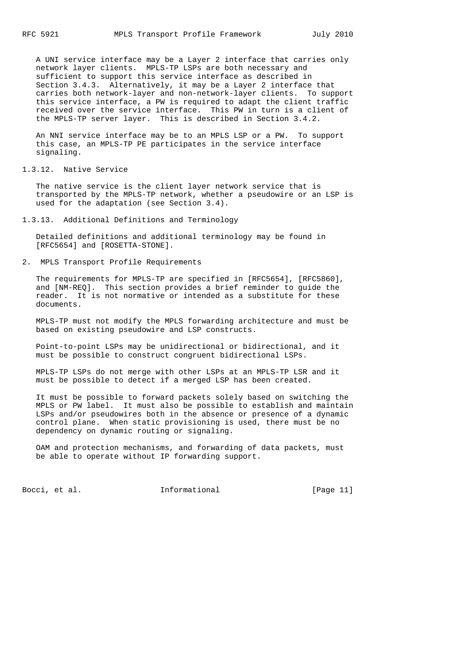A UNI service interface may be a Layer 2 interface that carries only network layer clients. MPLS-TP LSPs are both necessary and sufficient to support this service interface as described in Section 3.4.3. Alternatively, it may be a Layer 2 interface that carries both network-layer and non-network-layer clients. To support this service interface, a PW is required to adapt the client traffic received over the service interface. This PW in turn is a client of the MPLS-TP server layer. This is described in Section 3.4.2.

 An NNI service interface may be to an MPLS LSP or a PW. To support this case, an MPLS-TP PE participates in the service interface signaling.

1.3.12. Native Service

 The native service is the client layer network service that is transported by the MPLS-TP network, whether a pseudowire or an LSP is used for the adaptation (see Section 3.4).

1.3.13. Additional Definitions and Terminology

 Detailed definitions and additional terminology may be found in [RFC5654] and [ROSETTA-STONE].

2. MPLS Transport Profile Requirements

 The requirements for MPLS-TP are specified in [RFC5654], [RFC5860], and [NM-REQ]. This section provides a brief reminder to guide the reader. It is not normative or intended as a substitute for these documents.

 MPLS-TP must not modify the MPLS forwarding architecture and must be based on existing pseudowire and LSP constructs.

 Point-to-point LSPs may be unidirectional or bidirectional, and it must be possible to construct congruent bidirectional LSPs.

 MPLS-TP LSPs do not merge with other LSPs at an MPLS-TP LSR and it must be possible to detect if a merged LSP has been created.

 It must be possible to forward packets solely based on switching the MPLS or PW label. It must also be possible to establish and maintain LSPs and/or pseudowires both in the absence or presence of a dynamic control plane. When static provisioning is used, there must be no dependency on dynamic routing or signaling.

 OAM and protection mechanisms, and forwarding of data packets, must be able to operate without IP forwarding support.

Bocci, et al. Informational [Page 11]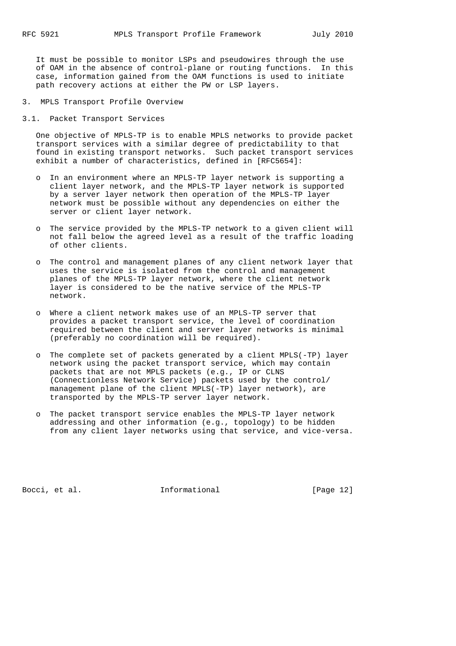It must be possible to monitor LSPs and pseudowires through the use of OAM in the absence of control-plane or routing functions. In this case, information gained from the OAM functions is used to initiate path recovery actions at either the PW or LSP layers.

- 3. MPLS Transport Profile Overview
- 3.1. Packet Transport Services

 One objective of MPLS-TP is to enable MPLS networks to provide packet transport services with a similar degree of predictability to that found in existing transport networks. Such packet transport services exhibit a number of characteristics, defined in [RFC5654]:

- o In an environment where an MPLS-TP layer network is supporting a client layer network, and the MPLS-TP layer network is supported by a server layer network then operation of the MPLS-TP layer network must be possible without any dependencies on either the server or client layer network.
- o The service provided by the MPLS-TP network to a given client will not fall below the agreed level as a result of the traffic loading of other clients.
- o The control and management planes of any client network layer that uses the service is isolated from the control and management planes of the MPLS-TP layer network, where the client network layer is considered to be the native service of the MPLS-TP network.
- o Where a client network makes use of an MPLS-TP server that provides a packet transport service, the level of coordination required between the client and server layer networks is minimal (preferably no coordination will be required).
- o The complete set of packets generated by a client MPLS(-TP) layer network using the packet transport service, which may contain packets that are not MPLS packets (e.g., IP or CLNS (Connectionless Network Service) packets used by the control/ management plane of the client MPLS(-TP) layer network), are transported by the MPLS-TP server layer network.
- o The packet transport service enables the MPLS-TP layer network addressing and other information (e.g., topology) to be hidden from any client layer networks using that service, and vice-versa.

Bocci, et al. 1nformational [Page 12]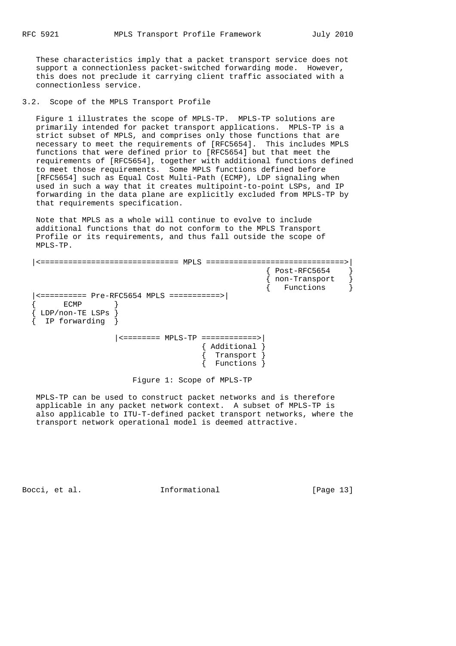These characteristics imply that a packet transport service does not support a connectionless packet-switched forwarding mode. However, this does not preclude it carrying client traffic associated with a connectionless service.

3.2. Scope of the MPLS Transport Profile

 Figure 1 illustrates the scope of MPLS-TP. MPLS-TP solutions are primarily intended for packet transport applications. MPLS-TP is a strict subset of MPLS, and comprises only those functions that are necessary to meet the requirements of [RFC5654]. This includes MPLS functions that were defined prior to [RFC5654] but that meet the requirements of [RFC5654], together with additional functions defined to meet those requirements. Some MPLS functions defined before [RFC5654] such as Equal Cost Multi-Path (ECMP), LDP signaling when used in such a way that it creates multipoint-to-point LSPs, and IP forwarding in the data plane are explicitly excluded from MPLS-TP by that requirements specification.

 Note that MPLS as a whole will continue to evolve to include additional functions that do not conform to the MPLS Transport Profile or its requirements, and thus fall outside the scope of MPLS-TP.

 |<============================== MPLS ==============================>| { Post-RFC5654 } { non-Transport } { Functions } |<========== Pre-RFC5654 MPLS ===========>|  $\{$  ECMP  $\}$  { LDP/non-TE LSPs } { IP forwarding } |<======== MPLS-TP ============>| { Additional } { Transport } { Functions }

Figure 1: Scope of MPLS-TP

 MPLS-TP can be used to construct packet networks and is therefore applicable in any packet network context. A subset of MPLS-TP is also applicable to ITU-T-defined packet transport networks, where the transport network operational model is deemed attractive.

Bocci, et al. **Informational** [Page 13]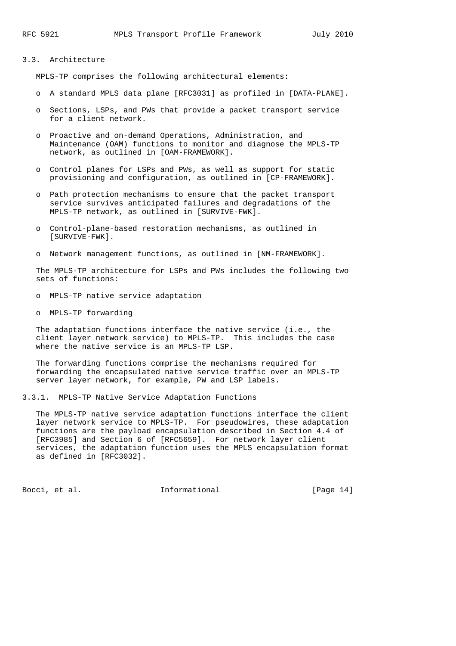### 3.3. Architecture

MPLS-TP comprises the following architectural elements:

- o A standard MPLS data plane [RFC3031] as profiled in [DATA-PLANE].
- o Sections, LSPs, and PWs that provide a packet transport service for a client network.
- o Proactive and on-demand Operations, Administration, and Maintenance (OAM) functions to monitor and diagnose the MPLS-TP network, as outlined in [OAM-FRAMEWORK].
- o Control planes for LSPs and PWs, as well as support for static provisioning and configuration, as outlined in [CP-FRAMEWORK].
- o Path protection mechanisms to ensure that the packet transport service survives anticipated failures and degradations of the MPLS-TP network, as outlined in [SURVIVE-FWK].
- o Control-plane-based restoration mechanisms, as outlined in [SURVIVE-FWK].
- o Network management functions, as outlined in [NM-FRAMEWORK].

 The MPLS-TP architecture for LSPs and PWs includes the following two sets of functions:

- o MPLS-TP native service adaptation
- o MPLS-TP forwarding

 The adaptation functions interface the native service (i.e., the client layer network service) to MPLS-TP. This includes the case where the native service is an MPLS-TP LSP.

 The forwarding functions comprise the mechanisms required for forwarding the encapsulated native service traffic over an MPLS-TP server layer network, for example, PW and LSP labels.

3.3.1. MPLS-TP Native Service Adaptation Functions

 The MPLS-TP native service adaptation functions interface the client layer network service to MPLS-TP. For pseudowires, these adaptation functions are the payload encapsulation described in Section 4.4 of [RFC3985] and Section 6 of [RFC5659]. For network layer client services, the adaptation function uses the MPLS encapsulation format as defined in [RFC3032].

Bocci, et al. **Informational** [Page 14]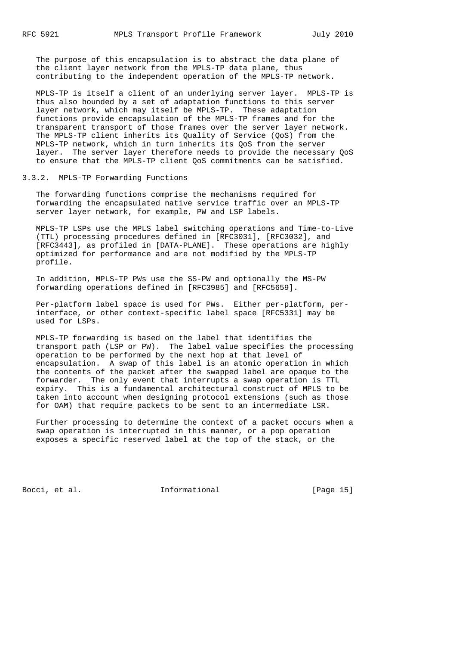The purpose of this encapsulation is to abstract the data plane of the client layer network from the MPLS-TP data plane, thus contributing to the independent operation of the MPLS-TP network.

 MPLS-TP is itself a client of an underlying server layer. MPLS-TP is thus also bounded by a set of adaptation functions to this server layer network, which may itself be MPLS-TP. These adaptation functions provide encapsulation of the MPLS-TP frames and for the transparent transport of those frames over the server layer network. The MPLS-TP client inherits its Quality of Service (QoS) from the MPLS-TP network, which in turn inherits its QoS from the server layer. The server layer therefore needs to provide the necessary QoS to ensure that the MPLS-TP client QoS commitments can be satisfied.

#### 3.3.2. MPLS-TP Forwarding Functions

 The forwarding functions comprise the mechanisms required for forwarding the encapsulated native service traffic over an MPLS-TP server layer network, for example, PW and LSP labels.

 MPLS-TP LSPs use the MPLS label switching operations and Time-to-Live (TTL) processing procedures defined in [RFC3031], [RFC3032], and [RFC3443], as profiled in [DATA-PLANE]. These operations are highly optimized for performance and are not modified by the MPLS-TP profile.

 In addition, MPLS-TP PWs use the SS-PW and optionally the MS-PW forwarding operations defined in [RFC3985] and [RFC5659].

 Per-platform label space is used for PWs. Either per-platform, per interface, or other context-specific label space [RFC5331] may be used for LSPs.

 MPLS-TP forwarding is based on the label that identifies the transport path (LSP or PW). The label value specifies the processing operation to be performed by the next hop at that level of encapsulation. A swap of this label is an atomic operation in which the contents of the packet after the swapped label are opaque to the forwarder. The only event that interrupts a swap operation is TTL expiry. This is a fundamental architectural construct of MPLS to be taken into account when designing protocol extensions (such as those for OAM) that require packets to be sent to an intermediate LSR.

 Further processing to determine the context of a packet occurs when a swap operation is interrupted in this manner, or a pop operation exposes a specific reserved label at the top of the stack, or the

Bocci, et al. 1nformational [Page 15]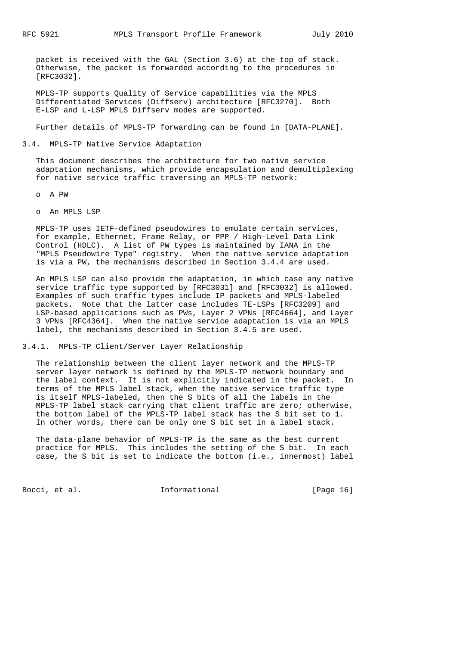packet is received with the GAL (Section 3.6) at the top of stack. Otherwise, the packet is forwarded according to the procedures in [RFC3032].

 MPLS-TP supports Quality of Service capabilities via the MPLS Differentiated Services (Diffserv) architecture [RFC3270]. Both E-LSP and L-LSP MPLS Diffserv modes are supported.

Further details of MPLS-TP forwarding can be found in [DATA-PLANE].

#### 3.4. MPLS-TP Native Service Adaptation

 This document describes the architecture for two native service adaptation mechanisms, which provide encapsulation and demultiplexing for native service traffic traversing an MPLS-TP network:

- o A PW
- o An MPLS LSP

 MPLS-TP uses IETF-defined pseudowires to emulate certain services, for example, Ethernet, Frame Relay, or PPP / High-Level Data Link Control (HDLC). A list of PW types is maintained by IANA in the "MPLS Pseudowire Type" registry. When the native service adaptation is via a PW, the mechanisms described in Section 3.4.4 are used.

 An MPLS LSP can also provide the adaptation, in which case any native service traffic type supported by [RFC3031] and [RFC3032] is allowed. Examples of such traffic types include IP packets and MPLS-labeled packets. Note that the latter case includes TE-LSPs [RFC3209] and LSP-based applications such as PWs, Layer 2 VPNs [RFC4664], and Layer 3 VPNs [RFC4364]. When the native service adaptation is via an MPLS label, the mechanisms described in Section 3.4.5 are used.

3.4.1. MPLS-TP Client/Server Layer Relationship

 The relationship between the client layer network and the MPLS-TP server layer network is defined by the MPLS-TP network boundary and the label context. It is not explicitly indicated in the packet. In terms of the MPLS label stack, when the native service traffic type is itself MPLS-labeled, then the S bits of all the labels in the MPLS-TP label stack carrying that client traffic are zero; otherwise, the bottom label of the MPLS-TP label stack has the S bit set to 1. In other words, there can be only one S bit set in a label stack.

 The data-plane behavior of MPLS-TP is the same as the best current practice for MPLS. This includes the setting of the S bit. In each case, the S bit is set to indicate the bottom (i.e., innermost) label

Bocci, et al. **Informational** [Page 16]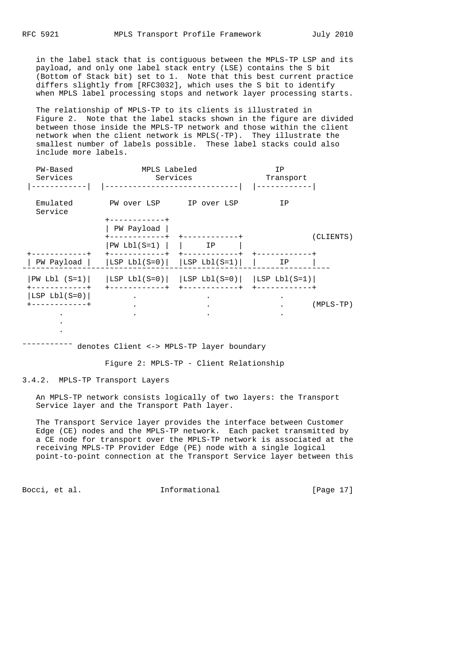in the label stack that is contiguous between the MPLS-TP LSP and its payload, and only one label stack entry (LSE) contains the S bit (Bottom of Stack bit) set to 1. Note that this best current practice differs slightly from [RFC3032], which uses the S bit to identify when MPLS label processing stops and network layer processing starts.

 The relationship of MPLS-TP to its clients is illustrated in Figure 2. Note that the label stacks shown in the figure are divided between those inside the MPLS-TP network and those within the client network when the client network is MPLS(-TP). They illustrate the smallest number of labels possible. These label stacks could also include more labels.

| PW-Based<br>Services        | MPLS Labeled<br>Services                           |  | ΙP<br>Transport |    |             |
|-----------------------------|----------------------------------------------------|--|-----------------|----|-------------|
| Emulated<br>Service         | PW over LSP IP over LSP                            |  |                 | ΙP |             |
|                             | -----------+<br>PW Payload                         |  |                 |    | (CLIENTS)   |
|                             | $PW Lbl(S=1)$                                      |  | ΙP              |    |             |
| PW Payload                  | $ LSP Lbl(S=0) $ $ LSP Lbl(S=1) $                  |  |                 | IP |             |
| $PW Lbl (S=1)$<br>--------+ | $ LSP Lbl(S=0) $ $ LSP Lbl(S=0) $ $ LSP Lbl(S=1) $ |  |                 |    |             |
| LSP $Lbl(S=0)$              |                                                    |  |                 |    |             |
|                             |                                                    |  |                 |    | $(MPLS-TP)$ |
|                             |                                                    |  |                 |    |             |

#### ˜˜˜˜˜˜˜˜˜˜˜ denotes Client <-> MPLS-TP layer boundary

Figure 2: MPLS-TP - Client Relationship

3.4.2. MPLS-TP Transport Layers

 An MPLS-TP network consists logically of two layers: the Transport Service layer and the Transport Path layer.

 The Transport Service layer provides the interface between Customer Edge (CE) nodes and the MPLS-TP network. Each packet transmitted by a CE node for transport over the MPLS-TP network is associated at the receiving MPLS-TP Provider Edge (PE) node with a single logical point-to-point connection at the Transport Service layer between this

Bocci, et al. **Informational** [Page 17]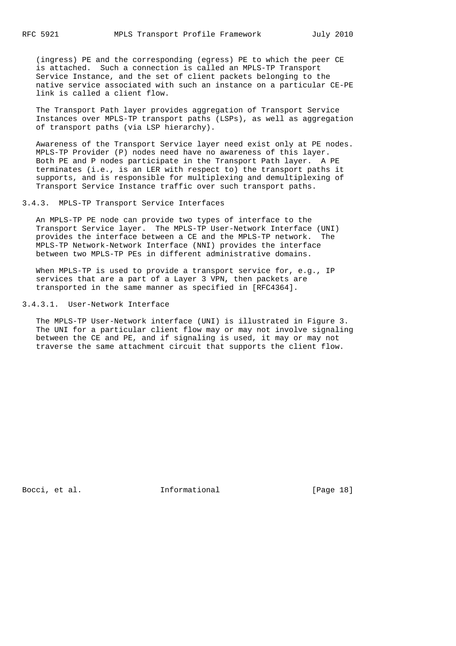(ingress) PE and the corresponding (egress) PE to which the peer CE is attached. Such a connection is called an MPLS-TP Transport Service Instance, and the set of client packets belonging to the native service associated with such an instance on a particular CE-PE link is called a client flow.

 The Transport Path layer provides aggregation of Transport Service Instances over MPLS-TP transport paths (LSPs), as well as aggregation of transport paths (via LSP hierarchy).

 Awareness of the Transport Service layer need exist only at PE nodes. MPLS-TP Provider (P) nodes need have no awareness of this layer. Both PE and P nodes participate in the Transport Path layer. A PE terminates (i.e., is an LER with respect to) the transport paths it supports, and is responsible for multiplexing and demultiplexing of Transport Service Instance traffic over such transport paths.

#### 3.4.3. MPLS-TP Transport Service Interfaces

 An MPLS-TP PE node can provide two types of interface to the Transport Service layer. The MPLS-TP User-Network Interface (UNI) provides the interface between a CE and the MPLS-TP network. The MPLS-TP Network-Network Interface (NNI) provides the interface between two MPLS-TP PEs in different administrative domains.

 When MPLS-TP is used to provide a transport service for, e.g., IP services that are a part of a Layer 3 VPN, then packets are transported in the same manner as specified in [RFC4364].

3.4.3.1. User-Network Interface

 The MPLS-TP User-Network interface (UNI) is illustrated in Figure 3. The UNI for a particular client flow may or may not involve signaling between the CE and PE, and if signaling is used, it may or may not traverse the same attachment circuit that supports the client flow.

Bocci, et al. **Informational** [Page 18]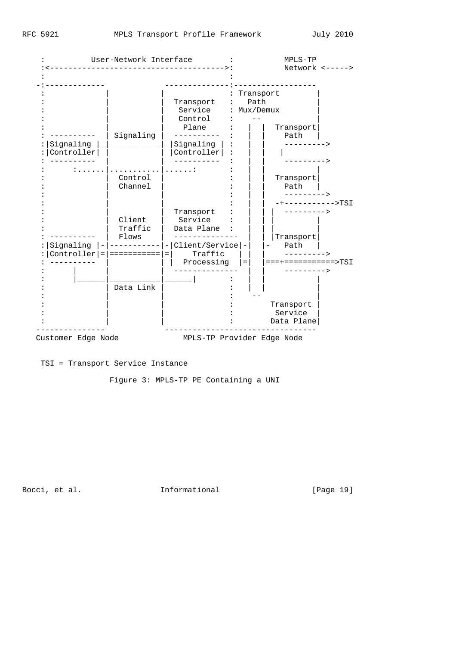|                | User-Network Interface |                    | MPLS-TP                    |                                 |
|----------------|------------------------|--------------------|----------------------------|---------------------------------|
|                |                        |                    | Network $\leftarrow$ ----> |                                 |
|                |                        |                    |                            |                                 |
|                |                        | Transport          | $\ddot{\phantom{0}}$       | Transport<br>Path               |
|                |                        | Service<br>Control |                            | : Mux/Demux                     |
|                |                        | Plane              |                            | Transport                       |
|                | Signaling              |                    |                            | Path                            |
| Signaling      |                        | Signaling          |                            | --------->                      |
| Controller     |                        | Controller         |                            | --------->                      |
|                | .                      | . :                |                            |                                 |
|                | Control                |                    |                            | Transport                       |
|                | Channel                |                    |                            | Path                            |
|                |                        |                    |                            | ---------><br>-+----------->TSI |
|                |                        | Transport          |                            |                                 |
|                | Client                 | Service            |                            |                                 |
|                | Traffic                | Data Plane         |                            |                                 |
| Signaling      | Flows                  | - Client/Service - |                            | Transport<br>Path               |
| $Controller =$ |                        | Traffic            |                            | $--------->$                    |
|                |                        | Processing         | $=$                        | ===+===========>TSI             |
|                |                        |                    |                            | $-------->$                     |
|                | Data Link              |                    |                            |                                 |
|                |                        |                    |                            |                                 |
|                |                        |                    |                            | Transport                       |
|                |                        |                    |                            | Service                         |
|                |                        |                    |                            | Data Plane                      |

TSI = Transport Service Instance

Figure 3: MPLS-TP PE Containing a UNI

Bocci, et al. 11. Informational 1999 [Page 19]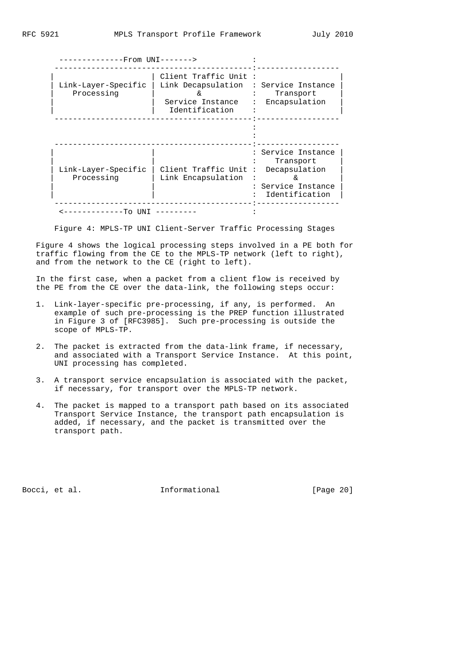| -------------From UNI------->     |                                                                                  |                                                                                                            |
|-----------------------------------|----------------------------------------------------------------------------------|------------------------------------------------------------------------------------------------------------|
| Link-Layer-Specific<br>Processing | Client Traffic Unit:<br>Link Decapsulation<br>Service Instance<br>Identification | : Service Instance<br>Transport<br>Encapsulation                                                           |
|                                   |                                                                                  |                                                                                                            |
| Link-Layer-Specific<br>Processing | Client Traffic Unit<br>Link Encapsulation                                        | : Service Instance<br>Transport<br>Decapsulation<br>$\ddot{\cdot}$<br>: Service Instance<br>Identification |
| ----------To<br><b>TINT</b>       |                                                                                  |                                                                                                            |

Figure 4: MPLS-TP UNI Client-Server Traffic Processing Stages

 Figure 4 shows the logical processing steps involved in a PE both for traffic flowing from the CE to the MPLS-TP network (left to right), and from the network to the CE (right to left).

 In the first case, when a packet from a client flow is received by the PE from the CE over the data-link, the following steps occur:

- 1. Link-layer-specific pre-processing, if any, is performed. An example of such pre-processing is the PREP function illustrated in Figure 3 of [RFC3985]. Such pre-processing is outside the scope of MPLS-TP.
- 2. The packet is extracted from the data-link frame, if necessary, and associated with a Transport Service Instance. At this point, UNI processing has completed.
- 3. A transport service encapsulation is associated with the packet, if necessary, for transport over the MPLS-TP network.
- 4. The packet is mapped to a transport path based on its associated Transport Service Instance, the transport path encapsulation is added, if necessary, and the packet is transmitted over the transport path.

Bocci, et al. **Informational** [Page 20]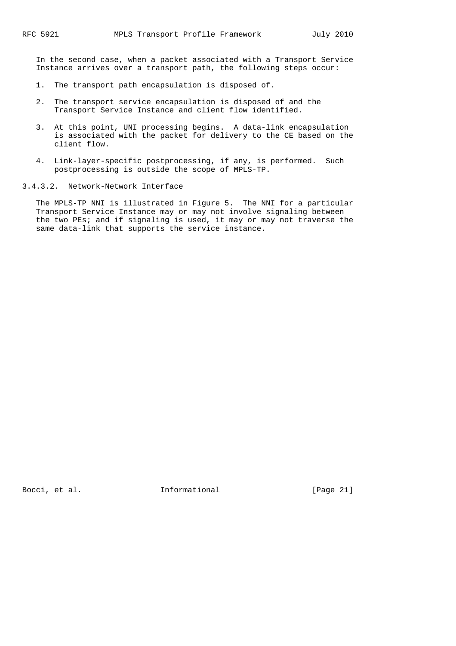In the second case, when a packet associated with a Transport Service Instance arrives over a transport path, the following steps occur:

- 1. The transport path encapsulation is disposed of.
- 2. The transport service encapsulation is disposed of and the Transport Service Instance and client flow identified.
- 3. At this point, UNI processing begins. A data-link encapsulation is associated with the packet for delivery to the CE based on the client flow.
- 4. Link-layer-specific postprocessing, if any, is performed. Such postprocessing is outside the scope of MPLS-TP.
- 3.4.3.2. Network-Network Interface

 The MPLS-TP NNI is illustrated in Figure 5. The NNI for a particular Transport Service Instance may or may not involve signaling between the two PEs; and if signaling is used, it may or may not traverse the same data-link that supports the service instance.

Bocci, et al. **Informational** [Page 21]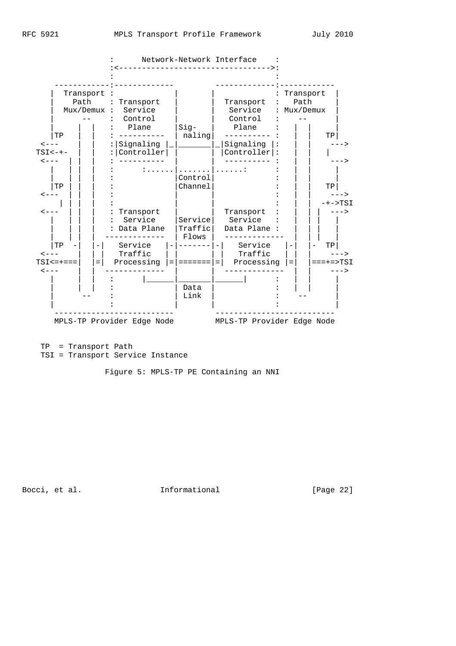

 TP = Transport Path TSI = Transport Service Instance

Figure 5: MPLS-TP PE Containing an NNI

Bocci, et al. **Informational** [Page 22]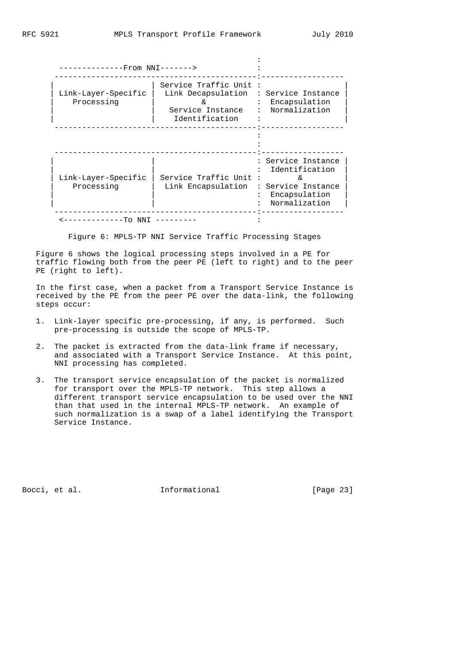Figure 6: MPLS-TP NNI Service Traffic Processing Stages

 Figure 6 shows the logical processing steps involved in a PE for traffic flowing both from the peer PE (left to right) and to the peer PE (right to left).

 In the first case, when a packet from a Transport Service Instance is received by the PE from the peer PE over the data-link, the following steps occur:

- 1. Link-layer specific pre-processing, if any, is performed. Such pre-processing is outside the scope of MPLS-TP.
- 2. The packet is extracted from the data-link frame if necessary, and associated with a Transport Service Instance. At this point, NNI processing has completed.
- 3. The transport service encapsulation of the packet is normalized for transport over the MPLS-TP network. This step allows a different transport service encapsulation to be used over the NNI than that used in the internal MPLS-TP network. An example of such normalization is a swap of a label identifying the Transport Service Instance.

Bocci, et al. **Informational** [Page 23]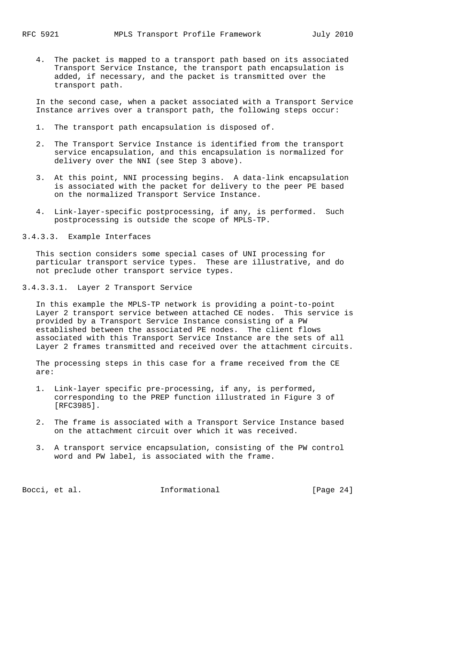4. The packet is mapped to a transport path based on its associated Transport Service Instance, the transport path encapsulation is added, if necessary, and the packet is transmitted over the transport path.

 In the second case, when a packet associated with a Transport Service Instance arrives over a transport path, the following steps occur:

- 1. The transport path encapsulation is disposed of.
- 2. The Transport Service Instance is identified from the transport service encapsulation, and this encapsulation is normalized for delivery over the NNI (see Step 3 above).
- 3. At this point, NNI processing begins. A data-link encapsulation is associated with the packet for delivery to the peer PE based on the normalized Transport Service Instance.
- 4. Link-layer-specific postprocessing, if any, is performed. Such postprocessing is outside the scope of MPLS-TP.

3.4.3.3. Example Interfaces

 This section considers some special cases of UNI processing for particular transport service types. These are illustrative, and do not preclude other transport service types.

3.4.3.3.1. Layer 2 Transport Service

 In this example the MPLS-TP network is providing a point-to-point Layer 2 transport service between attached CE nodes. This service is provided by a Transport Service Instance consisting of a PW established between the associated PE nodes. The client flows associated with this Transport Service Instance are the sets of all Layer 2 frames transmitted and received over the attachment circuits.

 The processing steps in this case for a frame received from the CE are:

- 1. Link-layer specific pre-processing, if any, is performed, corresponding to the PREP function illustrated in Figure 3 of [RFC3985].
- 2. The frame is associated with a Transport Service Instance based on the attachment circuit over which it was received.
- 3. A transport service encapsulation, consisting of the PW control word and PW label, is associated with the frame.

Bocci, et al. **Informational** [Page 24]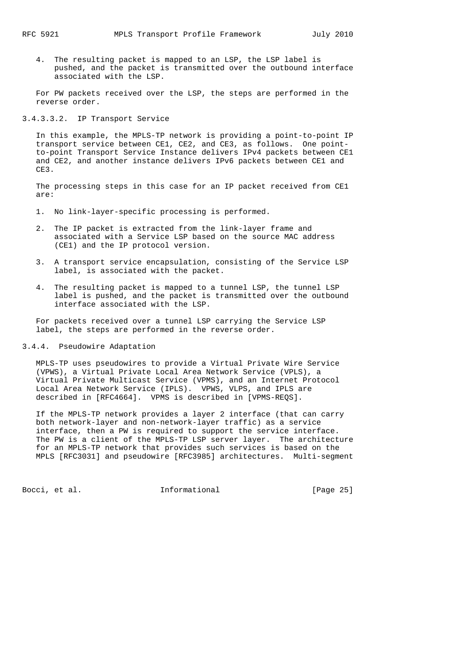4. The resulting packet is mapped to an LSP, the LSP label is pushed, and the packet is transmitted over the outbound interface associated with the LSP.

 For PW packets received over the LSP, the steps are performed in the reverse order.

3.4.3.3.2. IP Transport Service

 In this example, the MPLS-TP network is providing a point-to-point IP transport service between CE1, CE2, and CE3, as follows. One point to-point Transport Service Instance delivers IPv4 packets between CE1 and CE2, and another instance delivers IPv6 packets between CE1 and CE3.

 The processing steps in this case for an IP packet received from CE1 are:

1. No link-layer-specific processing is performed.

- 2. The IP packet is extracted from the link-layer frame and associated with a Service LSP based on the source MAC address (CE1) and the IP protocol version.
- 3. A transport service encapsulation, consisting of the Service LSP label, is associated with the packet.
- 4. The resulting packet is mapped to a tunnel LSP, the tunnel LSP label is pushed, and the packet is transmitted over the outbound interface associated with the LSP.

 For packets received over a tunnel LSP carrying the Service LSP label, the steps are performed in the reverse order.

3.4.4. Pseudowire Adaptation

 MPLS-TP uses pseudowires to provide a Virtual Private Wire Service (VPWS), a Virtual Private Local Area Network Service (VPLS), a Virtual Private Multicast Service (VPMS), and an Internet Protocol Local Area Network Service (IPLS). VPWS, VLPS, and IPLS are described in [RFC4664]. VPMS is described in [VPMS-REQS].

 If the MPLS-TP network provides a layer 2 interface (that can carry both network-layer and non-network-layer traffic) as a service interface, then a PW is required to support the service interface. The PW is a client of the MPLS-TP LSP server layer. The architecture for an MPLS-TP network that provides such services is based on the MPLS [RFC3031] and pseudowire [RFC3985] architectures. Multi-segment

Bocci, et al. **Informational** [Page 25]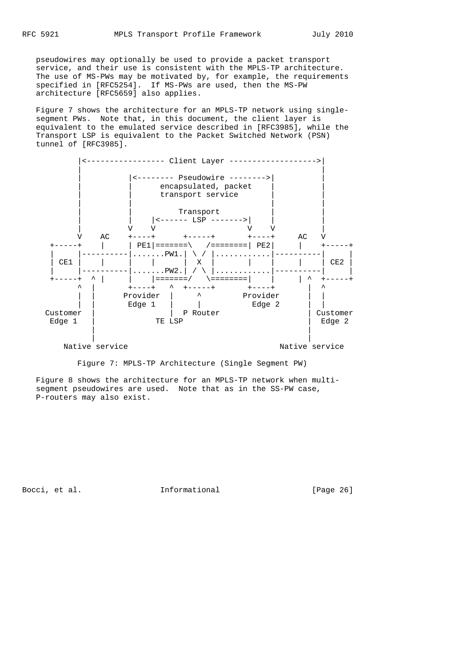pseudowires may optionally be used to provide a packet transport service, and their use is consistent with the MPLS-TP architecture. The use of MS-PWs may be motivated by, for example, the requirements specified in [RFC5254]. If MS-PWs are used, then the MS-PW architecture [RFC5659] also applies.

 Figure 7 shows the architecture for an MPLS-TP network using single segment PWs. Note that, in this document, the client layer is equivalent to the emulated service described in [RFC3985], while the Transport LSP is equivalent to the Packet Switched Network (PSN) tunnel of [RFC3985].



Native service and the Native service native service

Figure 7: MPLS-TP Architecture (Single Segment PW)

 Figure 8 shows the architecture for an MPLS-TP network when multi segment pseudowires are used. Note that as in the SS-PW case, P-routers may also exist.

Bocci, et al. **Informational** [Page 26]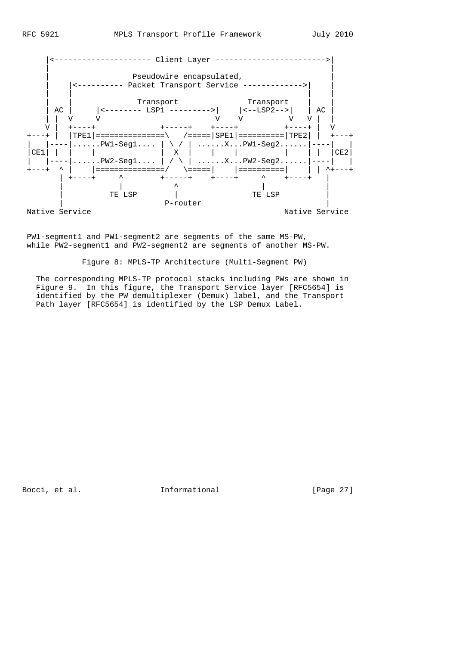

 PW1-segment1 and PW1-segment2 are segments of the same MS-PW, while PW2-segment1 and PW2-segment2 are segments of another MS-PW.

Figure 8: MPLS-TP Architecture (Multi-Segment PW)

 The corresponding MPLS-TP protocol stacks including PWs are shown in Figure 9. In this figure, the Transport Service layer [RFC5654] is identified by the PW demultiplexer (Demux) label, and the Transport Path layer [RFC5654] is identified by the LSP Demux Label.

Bocci, et al. 1nformational [Page 27]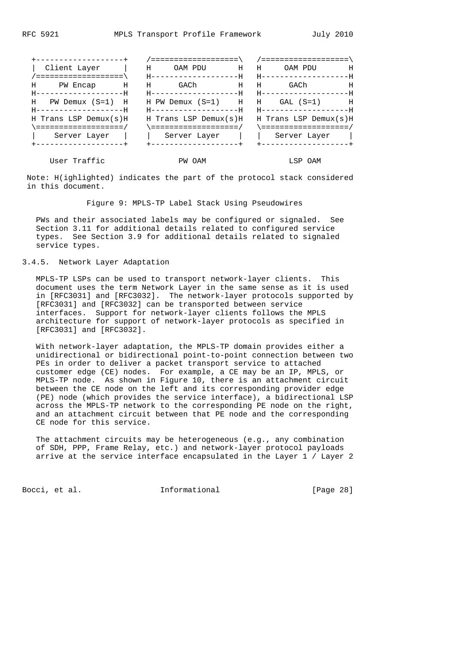| +-------------------+                                      |                                                           |                                                  |
|------------------------------------------------------------|-----------------------------------------------------------|--------------------------------------------------|
| Client Layer<br>$\blacksquare$ . The set of $\blacksquare$ | $H$ $H$<br>OAM PDU                                        | Н<br>OAM PDU                                     |
| / =====================                                    | H-------------------H                                     | - H-------------------F                          |
| H PW Encap H H                                             | GACh<br>$H$ $H$                                           | Н<br>GACh                                        |
| H-------------------F                                      | H-------------------F                                     | - H--------------------H                         |
|                                                            | H PW Demux $(S=1)$ H H PW Demux $(S=1)$ H H GAL $(S=1)$ H |                                                  |
| H------------------F                                       | H------------------F                                      | H-------------------F                            |
| H Trans LSP Demux $(s)$ H                                  |                                                           | H Trans LSP Demux(s)H $\,$ H Trans LSP Demux(s)H |
|                                                            |                                                           |                                                  |
| Server Layer                                               |                                                           | Server Layer     Server Layer                    |
| ------------------- <b>-</b>                               | +------------------+                                      | +-------------------                             |
|                                                            |                                                           |                                                  |

User Traffic **EXECUTE:** PW OAM **EXECUTE:** LSP OAM

 Note: H(ighlighted) indicates the part of the protocol stack considered in this document.

Figure 9: MPLS-TP Label Stack Using Pseudowires

 PWs and their associated labels may be configured or signaled. See Section 3.11 for additional details related to configured service types. See Section 3.9 for additional details related to signaled service types.

#### 3.4.5. Network Layer Adaptation

 MPLS-TP LSPs can be used to transport network-layer clients. This document uses the term Network Layer in the same sense as it is used in [RFC3031] and [RFC3032]. The network-layer protocols supported by [RFC3031] and [RFC3032] can be transported between service interfaces. Support for network-layer clients follows the MPLS architecture for support of network-layer protocols as specified in [RFC3031] and [RFC3032].

 With network-layer adaptation, the MPLS-TP domain provides either a unidirectional or bidirectional point-to-point connection between two PEs in order to deliver a packet transport service to attached customer edge (CE) nodes. For example, a CE may be an IP, MPLS, or MPLS-TP node. As shown in Figure 10, there is an attachment circuit between the CE node on the left and its corresponding provider edge (PE) node (which provides the service interface), a bidirectional LSP across the MPLS-TP network to the corresponding PE node on the right, and an attachment circuit between that PE node and the corresponding CE node for this service.

 The attachment circuits may be heterogeneous (e.g., any combination of SDH, PPP, Frame Relay, etc.) and network-layer protocol payloads arrive at the service interface encapsulated in the Layer 1 / Layer 2

Bocci, et al. **Informational** [Page 28]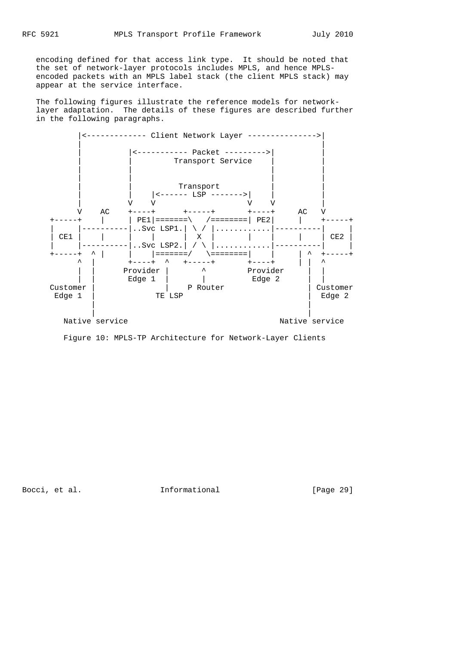encoding defined for that access link type. It should be noted that the set of network-layer protocols includes MPLS, and hence MPLS encoded packets with an MPLS label stack (the client MPLS stack) may appear at the service interface.

 The following figures illustrate the reference models for network layer adaptation. The details of these figures are described further in the following paragraphs.



Figure 10: MPLS-TP Architecture for Network-Layer Clients

Bocci, et al. **Informational** [Page 29]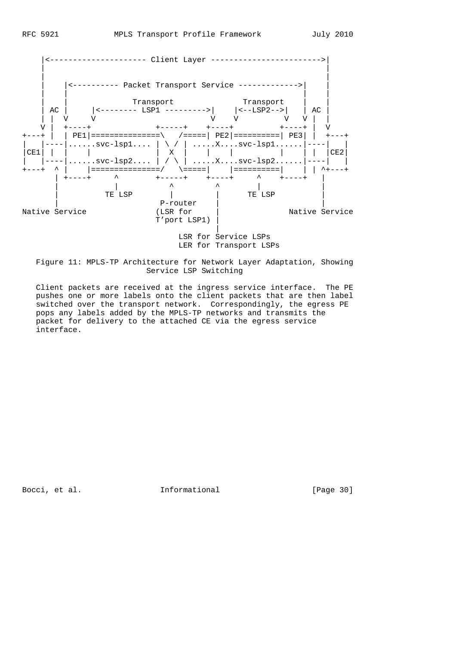

 Figure 11: MPLS-TP Architecture for Network Layer Adaptation, Showing Service LSP Switching

 Client packets are received at the ingress service interface. The PE pushes one or more labels onto the client packets that are then label switched over the transport network. Correspondingly, the egress PE pops any labels added by the MPLS-TP networks and transmits the packet for delivery to the attached CE via the egress service interface.

Bocci, et al. **Informational** [Page 30]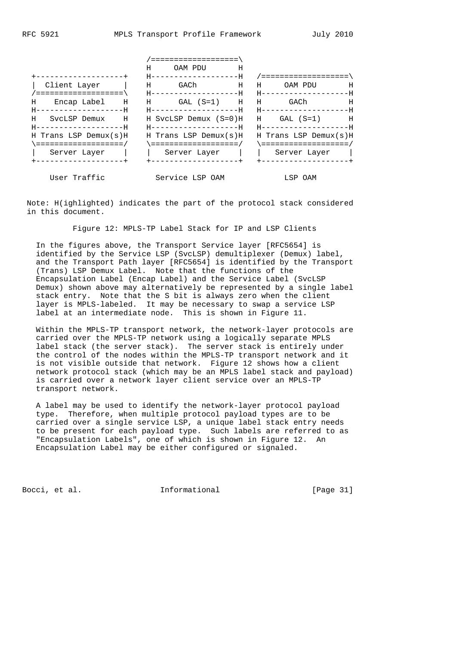|                                               | ===================           |                            |
|-----------------------------------------------|-------------------------------|----------------------------|
|                                               | OAM PDU<br>H.<br>- н          |                            |
| +------------------+                          | H-------------------F         | /====================      |
| Client Layer                                  | GACh H<br>$_{\rm H}$          | H H<br>OAM PDU<br>H        |
| ====================                          | H-------------------F         | - H----------------------- |
| H                                             | Encap Label H H GAL (S=1) H H | Η<br>GACh                  |
| H------------------F                          | H-------------------F         | - H----------------------- |
| H.<br>SvcLSP Demux<br>$\overline{\mathbf{H}}$ | H SvcLSP Demux (S=0)H         | H GAL (S=1) H              |
| H-------------------F                         | H-------------------F         | - H----------------------- |
| H Trans LSP Demux(s)H                         | H Trans LSP Demux(s)H         | H Trans LSP Demux(s)H      |
| =====================                         |                               |                            |
| Server Layer                                  | Server Layer     Server Layer |                            |
|                                               |                               | -------------------        |
|                                               |                               |                            |

 Note: H(ighlighted) indicates the part of the protocol stack considered in this document.

User Traffic Service LSP OAM GESP OAM

Figure 12: MPLS-TP Label Stack for IP and LSP Clients

 In the figures above, the Transport Service layer [RFC5654] is identified by the Service LSP (SvcLSP) demultiplexer (Demux) label, and the Transport Path layer [RFC5654] is identified by the Transport (Trans) LSP Demux Label. Note that the functions of the Encapsulation Label (Encap Label) and the Service Label (SvcLSP Demux) shown above may alternatively be represented by a single label stack entry. Note that the S bit is always zero when the client layer is MPLS-labeled. It may be necessary to swap a service LSP label at an intermediate node. This is shown in Figure 11.

 Within the MPLS-TP transport network, the network-layer protocols are carried over the MPLS-TP network using a logically separate MPLS label stack (the server stack). The server stack is entirely under the control of the nodes within the MPLS-TP transport network and it is not visible outside that network. Figure 12 shows how a client network protocol stack (which may be an MPLS label stack and payload) is carried over a network layer client service over an MPLS-TP transport network.

 A label may be used to identify the network-layer protocol payload type. Therefore, when multiple protocol payload types are to be carried over a single service LSP, a unique label stack entry needs to be present for each payload type. Such labels are referred to as "Encapsulation Labels", one of which is shown in Figure 12. An Encapsulation Label may be either configured or signaled.

Bocci, et al. **Informational** [Page 31]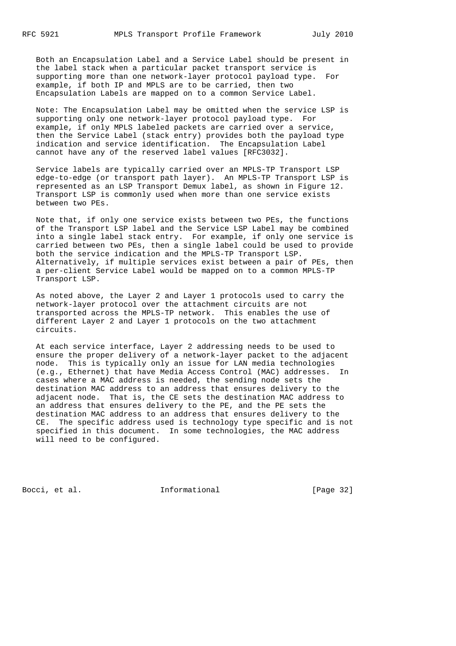Both an Encapsulation Label and a Service Label should be present in the label stack when a particular packet transport service is supporting more than one network-layer protocol payload type. For example, if both IP and MPLS are to be carried, then two Encapsulation Labels are mapped on to a common Service Label.

 Note: The Encapsulation Label may be omitted when the service LSP is supporting only one network-layer protocol payload type. For example, if only MPLS labeled packets are carried over a service, then the Service Label (stack entry) provides both the payload type indication and service identification. The Encapsulation Label cannot have any of the reserved label values [RFC3032].

 Service labels are typically carried over an MPLS-TP Transport LSP edge-to-edge (or transport path layer). An MPLS-TP Transport LSP is represented as an LSP Transport Demux label, as shown in Figure 12. Transport LSP is commonly used when more than one service exists between two PEs.

 Note that, if only one service exists between two PEs, the functions of the Transport LSP label and the Service LSP Label may be combined into a single label stack entry. For example, if only one service is carried between two PEs, then a single label could be used to provide both the service indication and the MPLS-TP Transport LSP. Alternatively, if multiple services exist between a pair of PEs, then a per-client Service Label would be mapped on to a common MPLS-TP Transport LSP.

 As noted above, the Layer 2 and Layer 1 protocols used to carry the network-layer protocol over the attachment circuits are not transported across the MPLS-TP network. This enables the use of different Layer 2 and Layer 1 protocols on the two attachment circuits.

 At each service interface, Layer 2 addressing needs to be used to ensure the proper delivery of a network-layer packet to the adjacent node. This is typically only an issue for LAN media technologies (e.g., Ethernet) that have Media Access Control (MAC) addresses. In cases where a MAC address is needed, the sending node sets the destination MAC address to an address that ensures delivery to the adjacent node. That is, the CE sets the destination MAC address to an address that ensures delivery to the PE, and the PE sets the destination MAC address to an address that ensures delivery to the CE. The specific address used is technology type specific and is not specified in this document. In some technologies, the MAC address will need to be configured.

Bocci, et al. 1nformational [Page 32]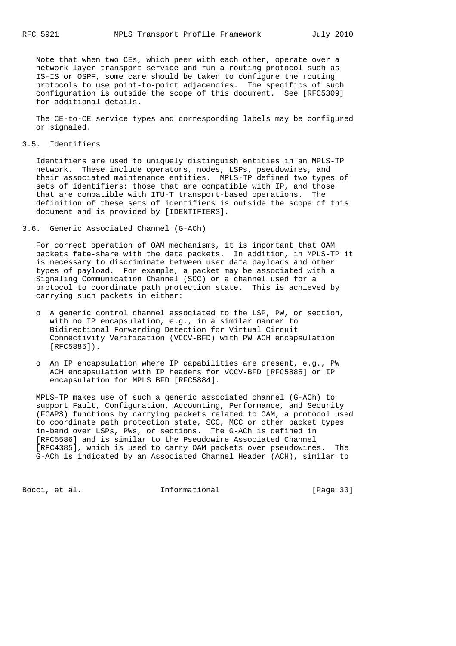Note that when two CEs, which peer with each other, operate over a network layer transport service and run a routing protocol such as IS-IS or OSPF, some care should be taken to configure the routing protocols to use point-to-point adjacencies. The specifics of such configuration is outside the scope of this document. See [RFC5309] for additional details.

 The CE-to-CE service types and corresponding labels may be configured or signaled.

#### 3.5. Identifiers

 Identifiers are used to uniquely distinguish entities in an MPLS-TP network. These include operators, nodes, LSPs, pseudowires, and their associated maintenance entities. MPLS-TP defined two types of sets of identifiers: those that are compatible with IP, and those that are compatible with ITU-T transport-based operations. The definition of these sets of identifiers is outside the scope of this document and is provided by [IDENTIFIERS].

3.6. Generic Associated Channel (G-ACh)

 For correct operation of OAM mechanisms, it is important that OAM packets fate-share with the data packets. In addition, in MPLS-TP it is necessary to discriminate between user data payloads and other types of payload. For example, a packet may be associated with a Signaling Communication Channel (SCC) or a channel used for a protocol to coordinate path protection state. This is achieved by carrying such packets in either:

- o A generic control channel associated to the LSP, PW, or section, with no IP encapsulation, e.g., in a similar manner to Bidirectional Forwarding Detection for Virtual Circuit Connectivity Verification (VCCV-BFD) with PW ACH encapsulation [RFC5885]).
- o An IP encapsulation where IP capabilities are present, e.g., PW ACH encapsulation with IP headers for VCCV-BFD [RFC5885] or IP encapsulation for MPLS BFD [RFC5884].

 MPLS-TP makes use of such a generic associated channel (G-ACh) to support Fault, Configuration, Accounting, Performance, and Security (FCAPS) functions by carrying packets related to OAM, a protocol used to coordinate path protection state, SCC, MCC or other packet types in-band over LSPs, PWs, or sections. The G-ACh is defined in [RFC5586] and is similar to the Pseudowire Associated Channel [RFC4385], which is used to carry OAM packets over pseudowires. The G-ACh is indicated by an Associated Channel Header (ACH), similar to

Bocci, et al. **Informational** [Page 33]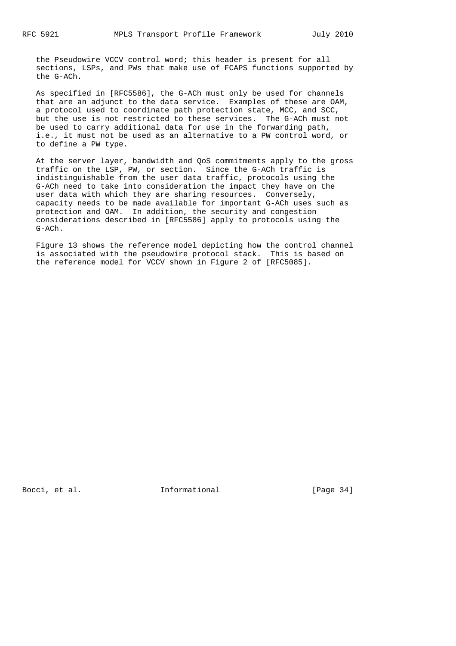the Pseudowire VCCV control word; this header is present for all sections, LSPs, and PWs that make use of FCAPS functions supported by the G-ACh.

 As specified in [RFC5586], the G-ACh must only be used for channels that are an adjunct to the data service. Examples of these are OAM, a protocol used to coordinate path protection state, MCC, and SCC, but the use is not restricted to these services. The G-ACh must not be used to carry additional data for use in the forwarding path, i.e., it must not be used as an alternative to a PW control word, or to define a PW type.

 At the server layer, bandwidth and QoS commitments apply to the gross traffic on the LSP, PW, or section. Since the G-ACh traffic is indistinguishable from the user data traffic, protocols using the G-ACh need to take into consideration the impact they have on the user data with which they are sharing resources. Conversely, capacity needs to be made available for important G-ACh uses such as protection and OAM. In addition, the security and congestion considerations described in [RFC5586] apply to protocols using the G-ACh.

 Figure 13 shows the reference model depicting how the control channel is associated with the pseudowire protocol stack. This is based on the reference model for VCCV shown in Figure 2 of [RFC5085].

Bocci, et al. **Informational** [Page 34]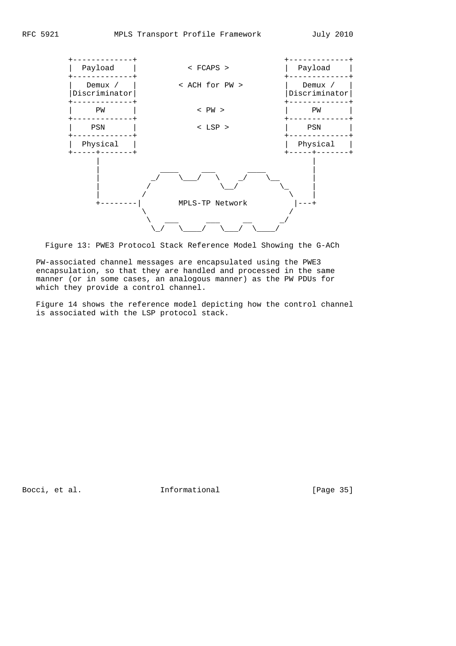

Figure 13: PWE3 Protocol Stack Reference Model Showing the G-ACh

 PW-associated channel messages are encapsulated using the PWE3 encapsulation, so that they are handled and processed in the same manner (or in some cases, an analogous manner) as the PW PDUs for which they provide a control channel.

 Figure 14 shows the reference model depicting how the control channel is associated with the LSP protocol stack.

Bocci, et al. 1nformational [Page 35]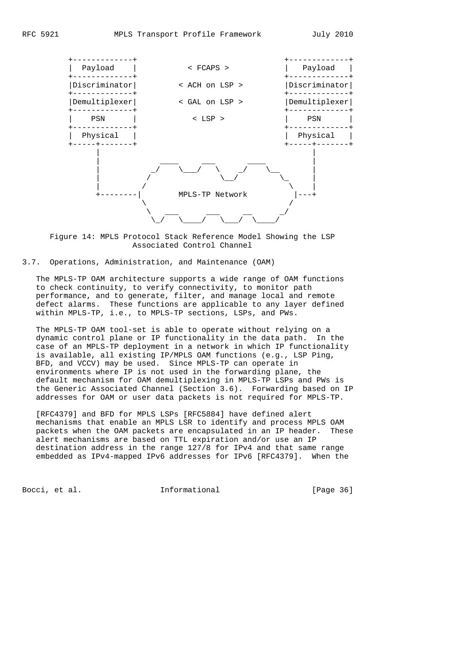

 Figure 14: MPLS Protocol Stack Reference Model Showing the LSP Associated Control Channel

3.7. Operations, Administration, and Maintenance (OAM)

 The MPLS-TP OAM architecture supports a wide range of OAM functions to check continuity, to verify connectivity, to monitor path performance, and to generate, filter, and manage local and remote defect alarms. These functions are applicable to any layer defined within MPLS-TP, i.e., to MPLS-TP sections, LSPs, and PWs.

 The MPLS-TP OAM tool-set is able to operate without relying on a dynamic control plane or IP functionality in the data path. In the case of an MPLS-TP deployment in a network in which IP functionality is available, all existing IP/MPLS OAM functions (e.g., LSP Ping, BFD, and VCCV) may be used. Since MPLS-TP can operate in environments where IP is not used in the forwarding plane, the default mechanism for OAM demultiplexing in MPLS-TP LSPs and PWs is the Generic Associated Channel (Section 3.6). Forwarding based on IP addresses for OAM or user data packets is not required for MPLS-TP.

 [RFC4379] and BFD for MPLS LSPs [RFC5884] have defined alert mechanisms that enable an MPLS LSR to identify and process MPLS OAM packets when the OAM packets are encapsulated in an IP header. These alert mechanisms are based on TTL expiration and/or use an IP destination address in the range 127/8 for IPv4 and that same range embedded as IPv4-mapped IPv6 addresses for IPv6 [RFC4379]. When the

Bocci, et al. **Informational** [Page 36]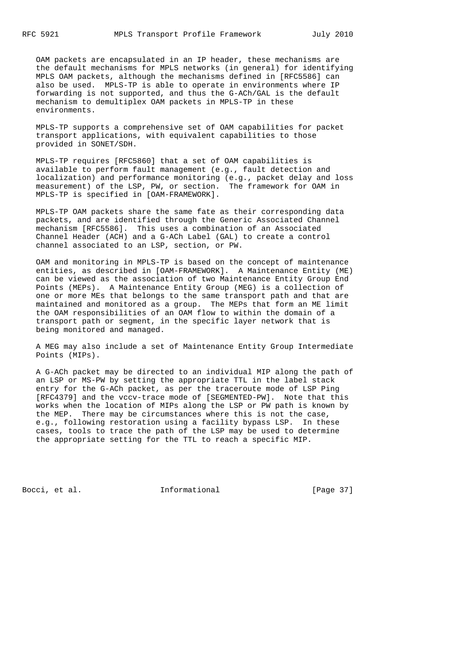OAM packets are encapsulated in an IP header, these mechanisms are the default mechanisms for MPLS networks (in general) for identifying MPLS OAM packets, although the mechanisms defined in [RFC5586] can also be used. MPLS-TP is able to operate in environments where IP forwarding is not supported, and thus the G-ACh/GAL is the default mechanism to demultiplex OAM packets in MPLS-TP in these environments.

 MPLS-TP supports a comprehensive set of OAM capabilities for packet transport applications, with equivalent capabilities to those provided in SONET/SDH.

 MPLS-TP requires [RFC5860] that a set of OAM capabilities is available to perform fault management (e.g., fault detection and localization) and performance monitoring (e.g., packet delay and loss measurement) of the LSP, PW, or section. The framework for OAM in MPLS-TP is specified in [OAM-FRAMEWORK].

 MPLS-TP OAM packets share the same fate as their corresponding data packets, and are identified through the Generic Associated Channel mechanism [RFC5586]. This uses a combination of an Associated Channel Header (ACH) and a G-ACh Label (GAL) to create a control channel associated to an LSP, section, or PW.

 OAM and monitoring in MPLS-TP is based on the concept of maintenance entities, as described in [OAM-FRAMEWORK]. A Maintenance Entity (ME) can be viewed as the association of two Maintenance Entity Group End Points (MEPs). A Maintenance Entity Group (MEG) is a collection of one or more MEs that belongs to the same transport path and that are maintained and monitored as a group. The MEPs that form an ME limit the OAM responsibilities of an OAM flow to within the domain of a transport path or segment, in the specific layer network that is being monitored and managed.

 A MEG may also include a set of Maintenance Entity Group Intermediate Points (MIPs).

 A G-ACh packet may be directed to an individual MIP along the path of an LSP or MS-PW by setting the appropriate TTL in the label stack entry for the G-ACh packet, as per the traceroute mode of LSP Ping [RFC4379] and the vccv-trace mode of [SEGMENTED-PW]. Note that this works when the location of MIPs along the LSP or PW path is known by the MEP. There may be circumstances where this is not the case, e.g., following restoration using a facility bypass LSP. In these cases, tools to trace the path of the LSP may be used to determine the appropriate setting for the TTL to reach a specific MIP.

Bocci, et al. 1nformational [Page 37]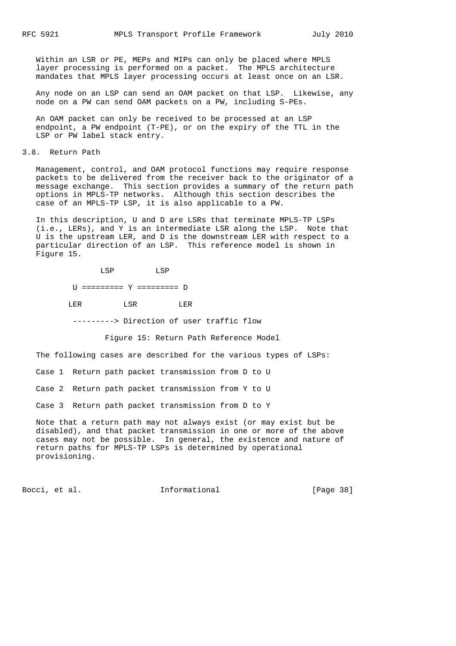Within an LSR or PE, MEPs and MIPs can only be placed where MPLS layer processing is performed on a packet. The MPLS architecture mandates that MPLS layer processing occurs at least once on an LSR.

 Any node on an LSP can send an OAM packet on that LSP. Likewise, any node on a PW can send OAM packets on a PW, including S-PEs.

 An OAM packet can only be received to be processed at an LSP endpoint, a PW endpoint (T-PE), or on the expiry of the TTL in the LSP or PW label stack entry.

3.8. Return Path

 Management, control, and OAM protocol functions may require response packets to be delivered from the receiver back to the originator of a message exchange. This section provides a summary of the return path options in MPLS-TP networks. Although this section describes the case of an MPLS-TP LSP, it is also applicable to a PW.

 In this description, U and D are LSRs that terminate MPLS-TP LSPs (i.e., LERs), and Y is an intermediate LSR along the LSP. Note that U is the upstream LER, and D is the downstream LER with respect to a particular direction of an LSP. This reference model is shown in Figure 15.

 LSP LSP U ========= Y ========= D LER LSR LER

---------> Direction of user traffic flow

Figure 15: Return Path Reference Model

The following cases are described for the various types of LSPs:

Case 1 Return path packet transmission from D to U

Case 2 Return path packet transmission from Y to U

Case 3 Return path packet transmission from D to Y

 Note that a return path may not always exist (or may exist but be disabled), and that packet transmission in one or more of the above cases may not be possible. In general, the existence and nature of return paths for MPLS-TP LSPs is determined by operational provisioning.

Bocci, et al. **Informational** [Page 38]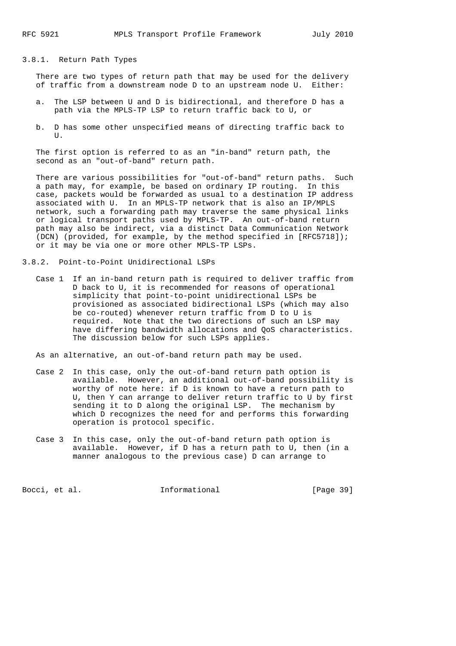### 3.8.1. Return Path Types

 There are two types of return path that may be used for the delivery of traffic from a downstream node D to an upstream node U. Either:

- a. The LSP between U and D is bidirectional, and therefore D has a path via the MPLS-TP LSP to return traffic back to U, or
- b. D has some other unspecified means of directing traffic back to  $\mathbf{U}$

 The first option is referred to as an "in-band" return path, the second as an "out-of-band" return path.

 There are various possibilities for "out-of-band" return paths. Such a path may, for example, be based on ordinary IP routing. In this case, packets would be forwarded as usual to a destination IP address associated with U. In an MPLS-TP network that is also an IP/MPLS network, such a forwarding path may traverse the same physical links or logical transport paths used by MPLS-TP. An out-of-band return path may also be indirect, via a distinct Data Communication Network (DCN) (provided, for example, by the method specified in [RFC5718]); or it may be via one or more other MPLS-TP LSPs.

- 3.8.2. Point-to-Point Unidirectional LSPs
	- Case 1 If an in-band return path is required to deliver traffic from D back to U, it is recommended for reasons of operational simplicity that point-to-point unidirectional LSPs be provisioned as associated bidirectional LSPs (which may also be co-routed) whenever return traffic from D to U is required. Note that the two directions of such an LSP may have differing bandwidth allocations and QoS characteristics. The discussion below for such LSPs applies.

As an alternative, an out-of-band return path may be used.

- Case 2 In this case, only the out-of-band return path option is available. However, an additional out-of-band possibility is worthy of note here: if D is known to have a return path to U, then Y can arrange to deliver return traffic to U by first sending it to D along the original LSP. The mechanism by which D recognizes the need for and performs this forwarding operation is protocol specific.
- Case 3 In this case, only the out-of-band return path option is available. However, if D has a return path to U, then (in a manner analogous to the previous case) D can arrange to

Bocci, et al. **Informational** [Page 39]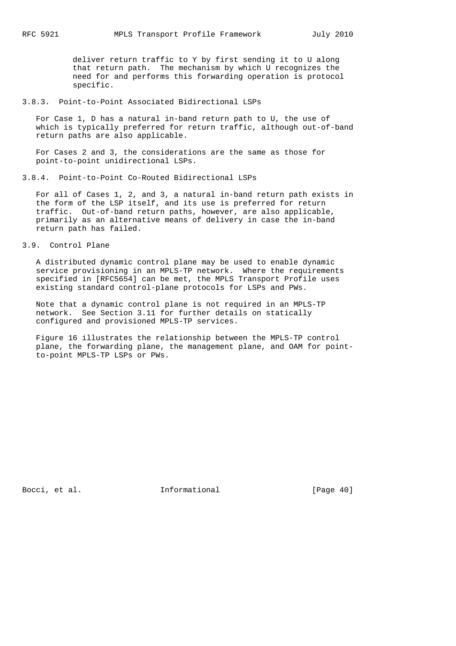deliver return traffic to Y by first sending it to U along that return path. The mechanism by which U recognizes the need for and performs this forwarding operation is protocol specific.

## 3.8.3. Point-to-Point Associated Bidirectional LSPs

 For Case 1, D has a natural in-band return path to U, the use of which is typically preferred for return traffic, although out-of-band return paths are also applicable.

 For Cases 2 and 3, the considerations are the same as those for point-to-point unidirectional LSPs.

3.8.4. Point-to-Point Co-Routed Bidirectional LSPs

 For all of Cases 1, 2, and 3, a natural in-band return path exists in the form of the LSP itself, and its use is preferred for return traffic. Out-of-band return paths, however, are also applicable, primarily as an alternative means of delivery in case the in-band return path has failed.

# 3.9. Control Plane

 A distributed dynamic control plane may be used to enable dynamic service provisioning in an MPLS-TP network. Where the requirements specified in [RFC5654] can be met, the MPLS Transport Profile uses existing standard control-plane protocols for LSPs and PWs.

 Note that a dynamic control plane is not required in an MPLS-TP network. See Section 3.11 for further details on statically configured and provisioned MPLS-TP services.

 Figure 16 illustrates the relationship between the MPLS-TP control plane, the forwarding plane, the management plane, and OAM for point to-point MPLS-TP LSPs or PWs.

Bocci, et al. **Informational** [Page 40]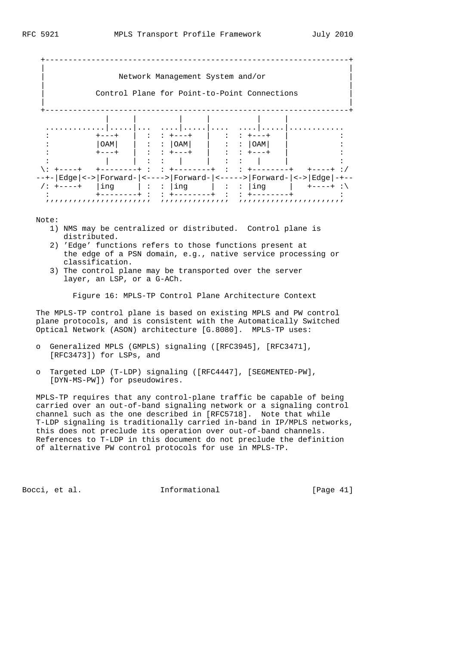|           |             | Network Management System and/or                                                                                                                                                                                                                                                                                                                                                                                                                           |                                          |                           |                                                                     |
|-----------|-------------|------------------------------------------------------------------------------------------------------------------------------------------------------------------------------------------------------------------------------------------------------------------------------------------------------------------------------------------------------------------------------------------------------------------------------------------------------------|------------------------------------------|---------------------------|---------------------------------------------------------------------|
|           |             | Control Plane for Point-to-Point Connections                                                                                                                                                                                                                                                                                                                                                                                                               |                                          |                           |                                                                     |
|           |             |                                                                                                                                                                                                                                                                                                                                                                                                                                                            |                                          |                           |                                                                     |
|           |             |                                                                                                                                                                                                                                                                                                                                                                                                                                                            |                                          |                           |                                                                     |
|           |             |                                                                                                                                                                                                                                                                                                                                                                                                                                                            |                                          |                           |                                                                     |
|           | $+ - - - +$ | $\mathbf{I} \qquad \mathbf{I} \qquad \mathbf{I} \qquad \mathbf{I} \qquad \mathbf{I} \qquad \mathbf{I} \qquad \mathbf{I} \qquad \mathbf{I} \qquad \mathbf{I} \qquad \mathbf{I} \qquad \mathbf{I} \qquad \mathbf{I} \qquad \mathbf{I} \qquad \mathbf{I} \qquad \mathbf{I} \qquad \mathbf{I} \qquad \mathbf{I} \qquad \mathbf{I} \qquad \mathbf{I} \qquad \mathbf{I} \qquad \mathbf{I} \qquad \mathbf{I} \qquad \mathbf{I} \qquad \mathbf{I} \qquad \mathbf{$ |                                          | : : +---+                 |                                                                     |
|           |             | $  OAM   \qquad   \qquad : \qquad   OAM  $                                                                                                                                                                                                                                                                                                                                                                                                                 |                                          | $ \cdot $ : : $ $ OAM $ $ |                                                                     |
|           |             | $+$ - - + $\qquad$ $\qquad$ : : + - - + $\qquad$ : : + - - +                                                                                                                                                                                                                                                                                                                                                                                               |                                          |                           |                                                                     |
|           |             | $\mathbf{1}$ $\mathbf{1}$ $\mathbf{1}$ $\mathbf{1}$                                                                                                                                                                                                                                                                                                                                                                                                        | $\sim 1000$ M $_\odot$ . The $\sim 1000$ |                           |                                                                     |
|           |             |                                                                                                                                                                                                                                                                                                                                                                                                                                                            |                                          |                           |                                                                     |
|           |             |                                                                                                                                                                                                                                                                                                                                                                                                                                                            |                                          |                           | --+- Edge <-> Forward- <----> Forward- <-----> Forward- <-> Edge -+ |
| /: +----+ |             | $\lfloor \text{ing} \rfloor : : \lfloor \text{ing} \rfloor : : \lfloor \text{ing} \rfloor$                                                                                                                                                                                                                                                                                                                                                                 |                                          |                           |                                                                     |
|           |             |                                                                                                                                                                                                                                                                                                                                                                                                                                                            |                                          |                           |                                                                     |

Note:

- 1) NMS may be centralized or distributed. Control plane is distributed.
- 2) 'Edge' functions refers to those functions present at the edge of a PSN domain, e.g., native service processing or classification.
- 3) The control plane may be transported over the server layer, an LSP, or a G-ACh.

Figure 16: MPLS-TP Control Plane Architecture Context

 The MPLS-TP control plane is based on existing MPLS and PW control plane protocols, and is consistent with the Automatically Switched Optical Network (ASON) architecture [G.8080]. MPLS-TP uses:

- o Generalized MPLS (GMPLS) signaling ([RFC3945], [RFC3471], [RFC3473]) for LSPs, and
- o Targeted LDP (T-LDP) signaling ([RFC4447], [SEGMENTED-PW], [DYN-MS-PW]) for pseudowires.

 MPLS-TP requires that any control-plane traffic be capable of being carried over an out-of-band signaling network or a signaling control channel such as the one described in [RFC5718]. Note that while T-LDP signaling is traditionally carried in-band in IP/MPLS networks, this does not preclude its operation over out-of-band channels. References to T-LDP in this document do not preclude the definition of alternative PW control protocols for use in MPLS-TP.

Bocci, et al. **Informational** [Page 41]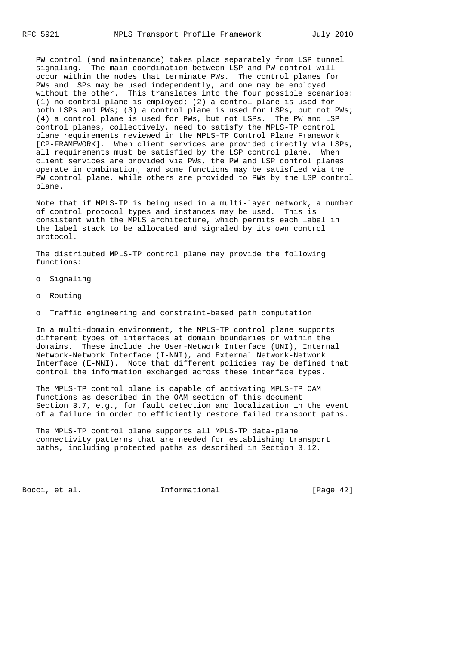PW control (and maintenance) takes place separately from LSP tunnel signaling. The main coordination between LSP and PW control will occur within the nodes that terminate PWs. The control planes for PWs and LSPs may be used independently, and one may be employed without the other. This translates into the four possible scenarios: (1) no control plane is employed; (2) a control plane is used for both LSPs and PWs; (3) a control plane is used for LSPs, but not PWs; (4) a control plane is used for PWs, but not LSPs. The PW and LSP control planes, collectively, need to satisfy the MPLS-TP control plane requirements reviewed in the MPLS-TP Control Plane Framework [CP-FRAMEWORK]. When client services are provided directly via LSPs, all requirements must be satisfied by the LSP control plane. When client services are provided via PWs, the PW and LSP control planes operate in combination, and some functions may be satisfied via the PW control plane, while others are provided to PWs by the LSP control plane.

 Note that if MPLS-TP is being used in a multi-layer network, a number of control protocol types and instances may be used. This is consistent with the MPLS architecture, which permits each label in the label stack to be allocated and signaled by its own control protocol.

 The distributed MPLS-TP control plane may provide the following functions:

- o Signaling
- o Routing
- o Traffic engineering and constraint-based path computation

 In a multi-domain environment, the MPLS-TP control plane supports different types of interfaces at domain boundaries or within the domains. These include the User-Network Interface (UNI), Internal Network-Network Interface (I-NNI), and External Network-Network Interface (E-NNI). Note that different policies may be defined that control the information exchanged across these interface types.

 The MPLS-TP control plane is capable of activating MPLS-TP OAM functions as described in the OAM section of this document Section 3.7, e.g., for fault detection and localization in the event of a failure in order to efficiently restore failed transport paths.

 The MPLS-TP control plane supports all MPLS-TP data-plane connectivity patterns that are needed for establishing transport paths, including protected paths as described in Section 3.12.

Bocci, et al. **Informational** [Page 42]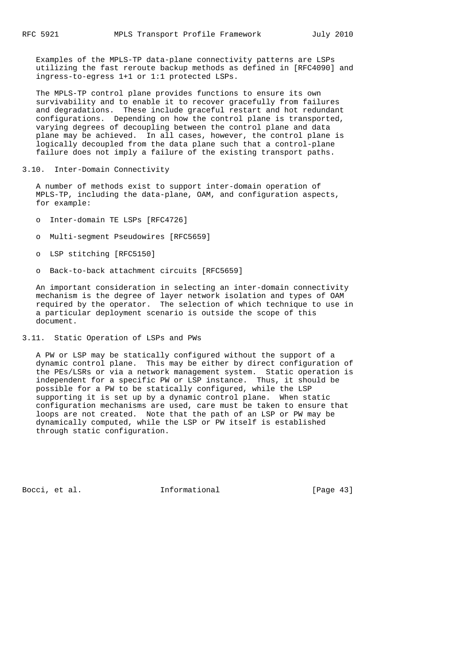Examples of the MPLS-TP data-plane connectivity patterns are LSPs utilizing the fast reroute backup methods as defined in [RFC4090] and ingress-to-egress 1+1 or 1:1 protected LSPs.

 The MPLS-TP control plane provides functions to ensure its own survivability and to enable it to recover gracefully from failures and degradations. These include graceful restart and hot redundant configurations. Depending on how the control plane is transported, varying degrees of decoupling between the control plane and data plane may be achieved. In all cases, however, the control plane is logically decoupled from the data plane such that a control-plane failure does not imply a failure of the existing transport paths.

3.10. Inter-Domain Connectivity

 A number of methods exist to support inter-domain operation of MPLS-TP, including the data-plane, OAM, and configuration aspects, for example:

- o Inter-domain TE LSPs [RFC4726]
- o Multi-segment Pseudowires [RFC5659]
- o LSP stitching [RFC5150]
- o Back-to-back attachment circuits [RFC5659]

 An important consideration in selecting an inter-domain connectivity mechanism is the degree of layer network isolation and types of OAM required by the operator. The selection of which technique to use in a particular deployment scenario is outside the scope of this document.

3.11. Static Operation of LSPs and PWs

 A PW or LSP may be statically configured without the support of a dynamic control plane. This may be either by direct configuration of the PEs/LSRs or via a network management system. Static operation is independent for a specific PW or LSP instance. Thus, it should be possible for a PW to be statically configured, while the LSP supporting it is set up by a dynamic control plane. When static configuration mechanisms are used, care must be taken to ensure that loops are not created. Note that the path of an LSP or PW may be dynamically computed, while the LSP or PW itself is established through static configuration.

Bocci, et al. 1nformational [Page 43]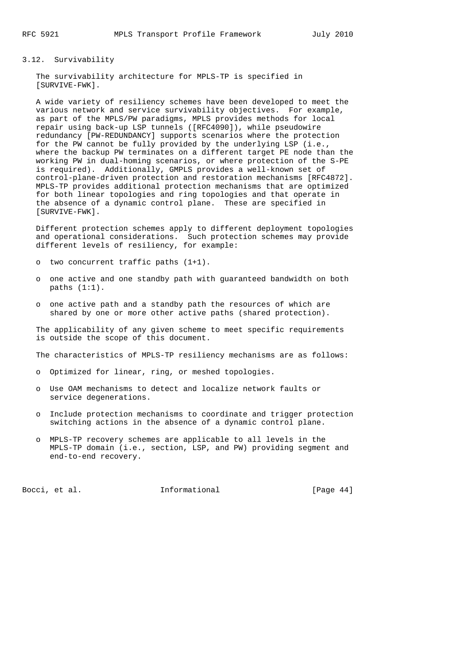### 3.12. Survivability

 The survivability architecture for MPLS-TP is specified in [SURVIVE-FWK].

 A wide variety of resiliency schemes have been developed to meet the various network and service survivability objectives. For example, as part of the MPLS/PW paradigms, MPLS provides methods for local repair using back-up LSP tunnels ([RFC4090]), while pseudowire redundancy [PW-REDUNDANCY] supports scenarios where the protection for the PW cannot be fully provided by the underlying LSP (i.e., where the backup PW terminates on a different target PE node than the working PW in dual-homing scenarios, or where protection of the S-PE is required). Additionally, GMPLS provides a well-known set of control-plane-driven protection and restoration mechanisms [RFC4872]. MPLS-TP provides additional protection mechanisms that are optimized for both linear topologies and ring topologies and that operate in the absence of a dynamic control plane. These are specified in [SURVIVE-FWK].

 Different protection schemes apply to different deployment topologies and operational considerations. Such protection schemes may provide different levels of resiliency, for example:

- o two concurrent traffic paths (1+1).
- o one active and one standby path with guaranteed bandwidth on both paths  $(1:1)$ .
- o one active path and a standby path the resources of which are shared by one or more other active paths (shared protection).

The applicability of any given scheme to meet specific requirements is outside the scope of this document.

The characteristics of MPLS-TP resiliency mechanisms are as follows:

- o Optimized for linear, ring, or meshed topologies.
- o Use OAM mechanisms to detect and localize network faults or service degenerations.
- o Include protection mechanisms to coordinate and trigger protection switching actions in the absence of a dynamic control plane.
- o MPLS-TP recovery schemes are applicable to all levels in the MPLS-TP domain (i.e., section, LSP, and PW) providing segment and end-to-end recovery.

Bocci, et al. **Informational** [Page 44]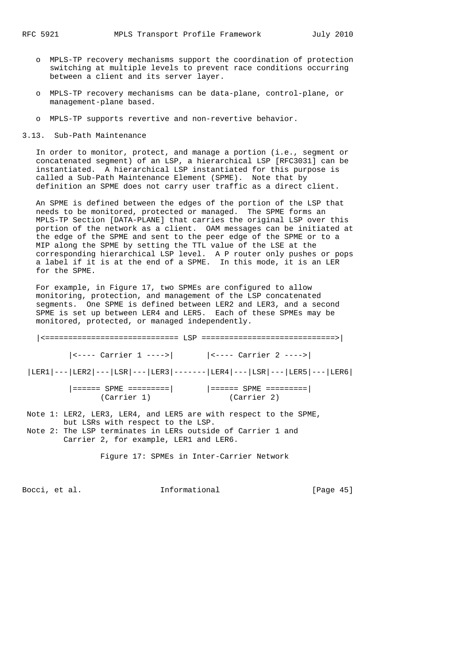- o MPLS-TP recovery mechanisms support the coordination of protection switching at multiple levels to prevent race conditions occurring between a client and its server layer.
- o MPLS-TP recovery mechanisms can be data-plane, control-plane, or management-plane based.
- o MPLS-TP supports revertive and non-revertive behavior.
- 3.13. Sub-Path Maintenance

 In order to monitor, protect, and manage a portion (i.e., segment or concatenated segment) of an LSP, a hierarchical LSP [RFC3031] can be instantiated. A hierarchical LSP instantiated for this purpose is called a Sub-Path Maintenance Element (SPME). Note that by definition an SPME does not carry user traffic as a direct client.

 An SPME is defined between the edges of the portion of the LSP that needs to be monitored, protected or managed. The SPME forms an MPLS-TP Section [DATA-PLANE] that carries the original LSP over this portion of the network as a client. OAM messages can be initiated at the edge of the SPME and sent to the peer edge of the SPME or to a MIP along the SPME by setting the TTL value of the LSE at the corresponding hierarchical LSP level. A P router only pushes or pops a label if it is at the end of a SPME. In this mode, it is an LER for the SPME.

 For example, in Figure 17, two SPMEs are configured to allow monitoring, protection, and management of the LSP concatenated segments. One SPME is defined between LER2 and LER3, and a second SPME is set up between LER4 and LER5. Each of these SPMEs may be monitored, protected, or managed independently.

| $ $ <---- Carrier 1 ----> $ $ $ $ <---- Carrier 2 ----> $ $           |             |
|-----------------------------------------------------------------------|-------------|
| LER1 --- LER2 --- LSR --- LER3 ------- LER4 --- LSR --- LER5 --- LER6 |             |
| ====== SPME =========           ====== SPME ========= <br>(Carrier 1) | (Carrier 2) |

 Note 1: LER2, LER3, LER4, and LER5 are with respect to the SPME, but LSRs with respect to the LSP. Note 2: The LSP terminates in LERs outside of Carrier 1 and Carrier 2, for example, LER1 and LER6.

Figure 17: SPMEs in Inter-Carrier Network

Bocci, et al. **Informational** [Page 45]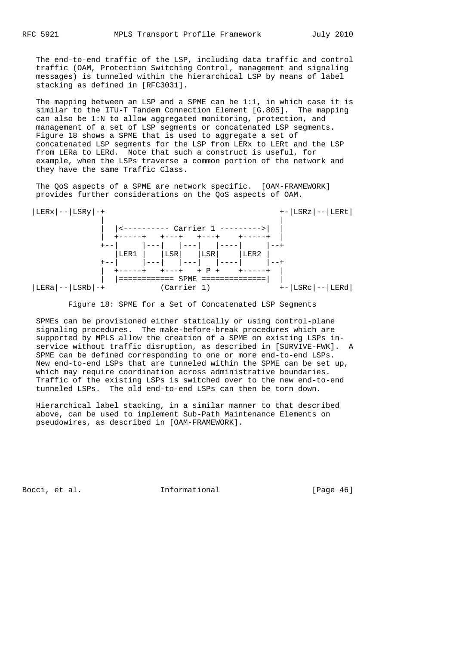The end-to-end traffic of the LSP, including data traffic and control traffic (OAM, Protection Switching Control, management and signaling messages) is tunneled within the hierarchical LSP by means of label stacking as defined in [RFC3031].

 The mapping between an LSP and a SPME can be 1:1, in which case it is similar to the ITU-T Tandem Connection Element [G.805]. The mapping can also be 1:N to allow aggregated monitoring, protection, and management of a set of LSP segments or concatenated LSP segments. Figure 18 shows a SPME that is used to aggregate a set of concatenated LSP segments for the LSP from LERx to LERt and the LSP from LERa to LERd. Note that such a construct is useful, for example, when the LSPs traverse a common portion of the network and they have the same Traffic Class.

 The QoS aspects of a SPME are network specific. [OAM-FRAMEWORK] provides further considerations on the QoS aspects of OAM.



Figure 18: SPME for a Set of Concatenated LSP Segments

 SPMEs can be provisioned either statically or using control-plane signaling procedures. The make-before-break procedures which are supported by MPLS allow the creation of a SPME on existing LSPs in service without traffic disruption, as described in [SURVIVE-FWK]. A SPME can be defined corresponding to one or more end-to-end LSPs. New end-to-end LSPs that are tunneled within the SPME can be set up, which may require coordination across administrative boundaries. Traffic of the existing LSPs is switched over to the new end-to-end tunneled LSPs. The old end-to-end LSPs can then be torn down.

 Hierarchical label stacking, in a similar manner to that described above, can be used to implement Sub-Path Maintenance Elements on pseudowires, as described in [OAM-FRAMEWORK].

Bocci, et al. **Informational** [Page 46]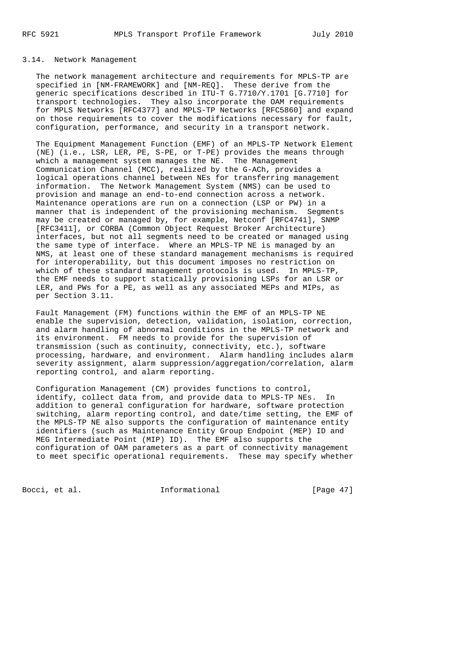# 3.14. Network Management

 The network management architecture and requirements for MPLS-TP are specified in [NM-FRAMEWORK] and [NM-REQ]. These derive from the generic specifications described in ITU-T G.7710/Y.1701 [G.7710] for transport technologies. They also incorporate the OAM requirements for MPLS Networks [RFC4377] and MPLS-TP Networks [RFC5860] and expand on those requirements to cover the modifications necessary for fault, configuration, performance, and security in a transport network.

 The Equipment Management Function (EMF) of an MPLS-TP Network Element (NE) (i.e., LSR, LER, PE, S-PE, or T-PE) provides the means through which a management system manages the NE. The Management Communication Channel (MCC), realized by the G-ACh, provides a logical operations channel between NEs for transferring management information. The Network Management System (NMS) can be used to provision and manage an end-to-end connection across a network. Maintenance operations are run on a connection (LSP or PW) in a manner that is independent of the provisioning mechanism. Segments may be created or managed by, for example, Netconf [RFC4741], SNMP [RFC3411], or CORBA (Common Object Request Broker Architecture) interfaces, but not all segments need to be created or managed using the same type of interface. Where an MPLS-TP NE is managed by an NMS, at least one of these standard management mechanisms is required for interoperability, but this document imposes no restriction on which of these standard management protocols is used. In MPLS-TP, the EMF needs to support statically provisioning LSPs for an LSR or LER, and PWs for a PE, as well as any associated MEPs and MIPs, as per Section 3.11.

 Fault Management (FM) functions within the EMF of an MPLS-TP NE enable the supervision, detection, validation, isolation, correction, and alarm handling of abnormal conditions in the MPLS-TP network and its environment. FM needs to provide for the supervision of transmission (such as continuity, connectivity, etc.), software processing, hardware, and environment. Alarm handling includes alarm severity assignment, alarm suppression/aggregation/correlation, alarm reporting control, and alarm reporting.

 Configuration Management (CM) provides functions to control, identify, collect data from, and provide data to MPLS-TP NEs. In addition to general configuration for hardware, software protection switching, alarm reporting control, and date/time setting, the EMF of the MPLS-TP NE also supports the configuration of maintenance entity identifiers (such as Maintenance Entity Group Endpoint (MEP) ID and MEG Intermediate Point (MIP) ID). The EMF also supports the configuration of OAM parameters as a part of connectivity management to meet specific operational requirements. These may specify whether

Bocci, et al. **Informational** [Page 47]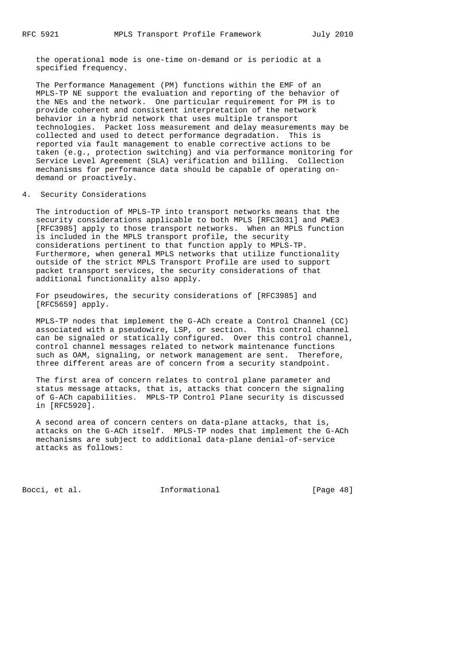the operational mode is one-time on-demand or is periodic at a specified frequency.

 The Performance Management (PM) functions within the EMF of an MPLS-TP NE support the evaluation and reporting of the behavior of the NEs and the network. One particular requirement for PM is to provide coherent and consistent interpretation of the network behavior in a hybrid network that uses multiple transport technologies. Packet loss measurement and delay measurements may be collected and used to detect performance degradation. This is reported via fault management to enable corrective actions to be taken (e.g., protection switching) and via performance monitoring for Service Level Agreement (SLA) verification and billing. Collection mechanisms for performance data should be capable of operating on demand or proactively.

### 4. Security Considerations

 The introduction of MPLS-TP into transport networks means that the security considerations applicable to both MPLS [RFC3031] and PWE3 [RFC3985] apply to those transport networks. When an MPLS function is included in the MPLS transport profile, the security considerations pertinent to that function apply to MPLS-TP. Furthermore, when general MPLS networks that utilize functionality outside of the strict MPLS Transport Profile are used to support packet transport services, the security considerations of that additional functionality also apply.

 For pseudowires, the security considerations of [RFC3985] and [RFC5659] apply.

 MPLS-TP nodes that implement the G-ACh create a Control Channel (CC) associated with a pseudowire, LSP, or section. This control channel can be signaled or statically configured. Over this control channel, control channel messages related to network maintenance functions such as OAM, signaling, or network management are sent. Therefore, three different areas are of concern from a security standpoint.

 The first area of concern relates to control plane parameter and status message attacks, that is, attacks that concern the signaling of G-ACh capabilities. MPLS-TP Control Plane security is discussed in [RFC5920].

 A second area of concern centers on data-plane attacks, that is, attacks on the G-ACh itself. MPLS-TP nodes that implement the G-ACh mechanisms are subject to additional data-plane denial-of-service attacks as follows:

Bocci, et al. **Informational** [Page 48]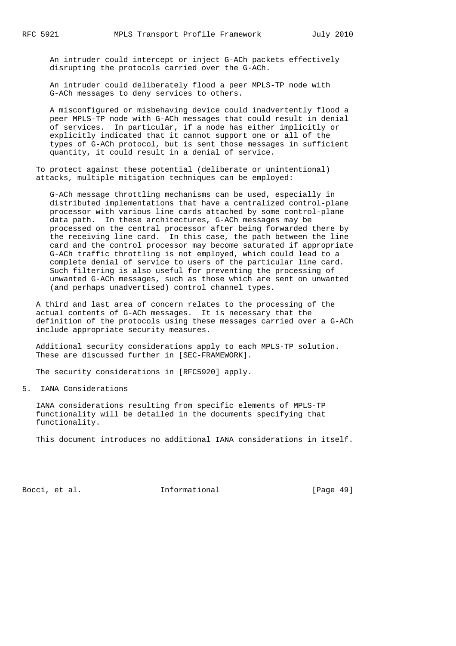An intruder could intercept or inject G-ACh packets effectively disrupting the protocols carried over the G-ACh.

 An intruder could deliberately flood a peer MPLS-TP node with G-ACh messages to deny services to others.

 A misconfigured or misbehaving device could inadvertently flood a peer MPLS-TP node with G-ACh messages that could result in denial of services. In particular, if a node has either implicitly or explicitly indicated that it cannot support one or all of the types of G-ACh protocol, but is sent those messages in sufficient quantity, it could result in a denial of service.

 To protect against these potential (deliberate or unintentional) attacks, multiple mitigation techniques can be employed:

 G-ACh message throttling mechanisms can be used, especially in distributed implementations that have a centralized control-plane processor with various line cards attached by some control-plane data path. In these architectures, G-ACh messages may be processed on the central processor after being forwarded there by the receiving line card. In this case, the path between the line card and the control processor may become saturated if appropriate G-ACh traffic throttling is not employed, which could lead to a complete denial of service to users of the particular line card. Such filtering is also useful for preventing the processing of unwanted G-ACh messages, such as those which are sent on unwanted (and perhaps unadvertised) control channel types.

 A third and last area of concern relates to the processing of the actual contents of G-ACh messages. It is necessary that the definition of the protocols using these messages carried over a G-ACh include appropriate security measures.

 Additional security considerations apply to each MPLS-TP solution. These are discussed further in [SEC-FRAMEWORK].

The security considerations in [RFC5920] apply.

5. IANA Considerations

 IANA considerations resulting from specific elements of MPLS-TP functionality will be detailed in the documents specifying that functionality.

This document introduces no additional IANA considerations in itself.

Bocci, et al. **Informational** [Page 49]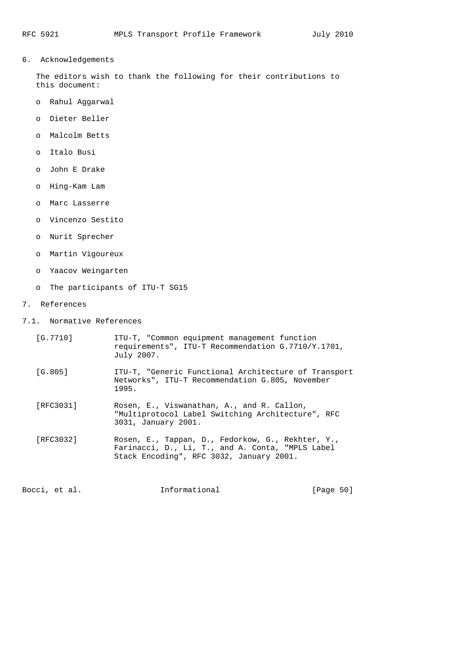6. Acknowledgements

 The editors wish to thank the following for their contributions to this document:

- o Rahul Aggarwal
- o Dieter Beller
- o Malcolm Betts
- o Italo Busi
- o John E Drake
- o Hing-Kam Lam
- o Marc Lasserre
- o Vincenzo Sestito
- o Nurit Sprecher
- o Martin Vigoureux
- o Yaacov Weingarten
- o The participants of ITU-T SG15
- 7. References
- 7.1. Normative References
	- [G.7710] ITU-T, "Common equipment management function requirements", ITU-T Recommendation G.7710/Y.1701, July 2007.
	- [G.805] ITU-T, "Generic Functional Architecture of Transport Networks", ITU-T Recommendation G.805, November 1995.
	- [RFC3031] Rosen, E., Viswanathan, A., and R. Callon, "Multiprotocol Label Switching Architecture", RFC 3031, January 2001.
	- [RFC3032] Rosen, E., Tappan, D., Fedorkow, G., Rekhter, Y., Farinacci, D., Li, T., and A. Conta, "MPLS Label Stack Encoding", RFC 3032, January 2001.

Bocci, et al. **Informational** [Page 50]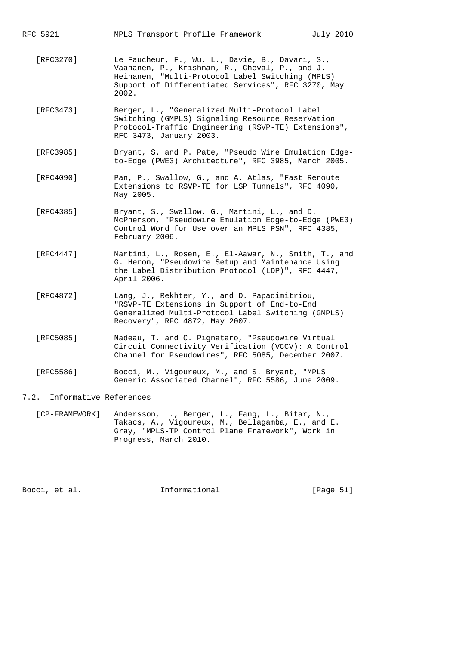- [RFC3270] Le Faucheur, F., Wu, L., Davie, B., Davari, S., Vaananen, P., Krishnan, R., Cheval, P., and J. Heinanen, "Multi-Protocol Label Switching (MPLS) Support of Differentiated Services", RFC 3270, May 2002.
- [RFC3473] Berger, L., "Generalized Multi-Protocol Label Switching (GMPLS) Signaling Resource ReserVation Protocol-Traffic Engineering (RSVP-TE) Extensions", RFC 3473, January 2003.
- [RFC3985] Bryant, S. and P. Pate, "Pseudo Wire Emulation Edge to-Edge (PWE3) Architecture", RFC 3985, March 2005.
- [RFC4090] Pan, P., Swallow, G., and A. Atlas, "Fast Reroute Extensions to RSVP-TE for LSP Tunnels", RFC 4090, May 2005.
- [RFC4385] Bryant, S., Swallow, G., Martini, L., and D. McPherson, "Pseudowire Emulation Edge-to-Edge (PWE3) Control Word for Use over an MPLS PSN", RFC 4385, February 2006.
- [RFC4447] Martini, L., Rosen, E., El-Aawar, N., Smith, T., and G. Heron, "Pseudowire Setup and Maintenance Using the Label Distribution Protocol (LDP)", RFC 4447, April 2006.
- [RFC4872] Lang, J., Rekhter, Y., and D. Papadimitriou, "RSVP-TE Extensions in Support of End-to-End Generalized Multi-Protocol Label Switching (GMPLS) Recovery", RFC 4872, May 2007.
- [RFC5085] Nadeau, T. and C. Pignataro, "Pseudowire Virtual Circuit Connectivity Verification (VCCV): A Control Channel for Pseudowires", RFC 5085, December 2007.
- [RFC5586] Bocci, M., Vigoureux, M., and S. Bryant, "MPLS Generic Associated Channel", RFC 5586, June 2009.

### 7.2. Informative References

 [CP-FRAMEWORK] Andersson, L., Berger, L., Fang, L., Bitar, N., Takacs, A., Vigoureux, M., Bellagamba, E., and E. Gray, "MPLS-TP Control Plane Framework", Work in Progress, March 2010.

Bocci, et al. Informational [Page 51]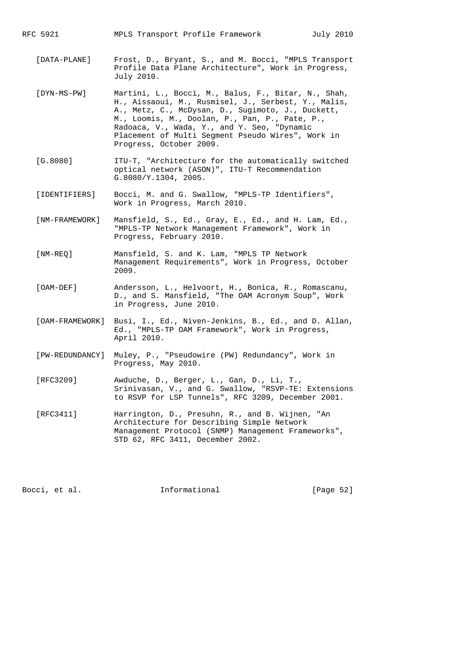- [DATA-PLANE] Frost, D., Bryant, S., and M. Bocci, "MPLS Transport Profile Data Plane Architecture", Work in Progress, July 2010.
- [DYN-MS-PW] Martini, L., Bocci, M., Balus, F., Bitar, N., Shah, H., Aissaoui, M., Rusmisel, J., Serbest, Y., Malis, A., Metz, C., McDysan, D., Sugimoto, J., Duckett, M., Loomis, M., Doolan, P., Pan, P., Pate, P., Radoaca, V., Wada, Y., and Y. Seo, "Dynamic Placement of Multi Segment Pseudo Wires", Work in Progress, October 2009.
- [G.8080] ITU-T, "Architecture for the automatically switched optical network (ASON)", ITU-T Recommendation G.8080/Y.1304, 2005.
- [IDENTIFIERS] Bocci, M. and G. Swallow, "MPLS-TP Identifiers", Work in Progress, March 2010.
- [NM-FRAMEWORK] Mansfield, S., Ed., Gray, E., Ed., and H. Lam, Ed., "MPLS-TP Network Management Framework", Work in Progress, February 2010.
- [NM-REQ] Mansfield, S. and K. Lam, "MPLS TP Network Management Requirements", Work in Progress, October 2009.
- [OAM-DEF] Andersson, L., Helvoort, H., Bonica, R., Romascanu, D., and S. Mansfield, "The OAM Acronym Soup", Work in Progress, June 2010.
- [OAM-FRAMEWORK] Busi, I., Ed., Niven-Jenkins, B., Ed., and D. Allan, Ed., "MPLS-TP OAM Framework", Work in Progress, April 2010.
- [PW-REDUNDANCY] Muley, P., "Pseudowire (PW) Redundancy", Work in Progress, May 2010.
- [RFC3209] Awduche, D., Berger, L., Gan, D., Li, T., Srinivasan, V., and G. Swallow, "RSVP-TE: Extensions to RSVP for LSP Tunnels", RFC 3209, December 2001.
- [RFC3411] Harrington, D., Presuhn, R., and B. Wijnen, "An Architecture for Describing Simple Network Management Protocol (SNMP) Management Frameworks", STD 62, RFC 3411, December 2002.

Bocci, et al. **Informational** [Page 52]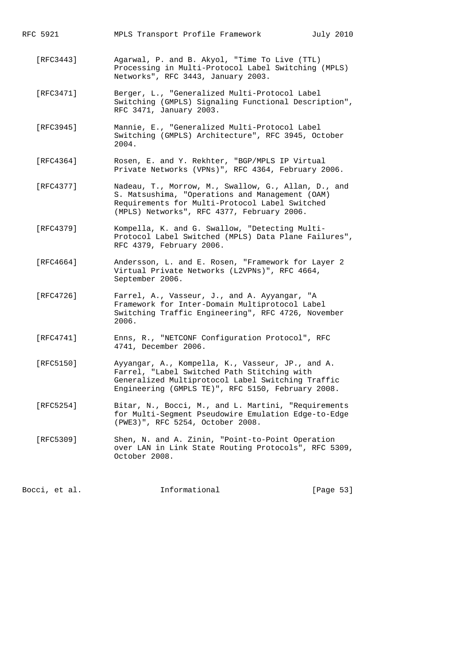- [RFC3443] Agarwal, P. and B. Akyol, "Time To Live (TTL) Processing in Multi-Protocol Label Switching (MPLS) Networks", RFC 3443, January 2003.
- [RFC3471] Berger, L., "Generalized Multi-Protocol Label Switching (GMPLS) Signaling Functional Description", RFC 3471, January 2003.
- [RFC3945] Mannie, E., "Generalized Multi-Protocol Label Switching (GMPLS) Architecture", RFC 3945, October 2004.
- [RFC4364] Rosen, E. and Y. Rekhter, "BGP/MPLS IP Virtual Private Networks (VPNs)", RFC 4364, February 2006.
- [RFC4377] Nadeau, T., Morrow, M., Swallow, G., Allan, D., and S. Matsushima, "Operations and Management (OAM) Requirements for Multi-Protocol Label Switched (MPLS) Networks", RFC 4377, February 2006.
- [RFC4379] Kompella, K. and G. Swallow, "Detecting Multi- Protocol Label Switched (MPLS) Data Plane Failures", RFC 4379, February 2006.
- [RFC4664] Andersson, L. and E. Rosen, "Framework for Layer 2 Virtual Private Networks (L2VPNs)", RFC 4664, September 2006.
- [RFC4726] Farrel, A., Vasseur, J., and A. Ayyangar, "A Framework for Inter-Domain Multiprotocol Label Switching Traffic Engineering", RFC 4726, November 2006.
- [RFC4741] Enns, R., "NETCONF Configuration Protocol", RFC 4741, December 2006.
- [RFC5150] Ayyangar, A., Kompella, K., Vasseur, JP., and A. Farrel, "Label Switched Path Stitching with Generalized Multiprotocol Label Switching Traffic Engineering (GMPLS TE)", RFC 5150, February 2008.
- [RFC5254] Bitar, N., Bocci, M., and L. Martini, "Requirements for Multi-Segment Pseudowire Emulation Edge-to-Edge (PWE3)", RFC 5254, October 2008.
- [RFC5309] Shen, N. and A. Zinin, "Point-to-Point Operation over LAN in Link State Routing Protocols", RFC 5309, October 2008.

Bocci, et al. **Informational** [Page 53]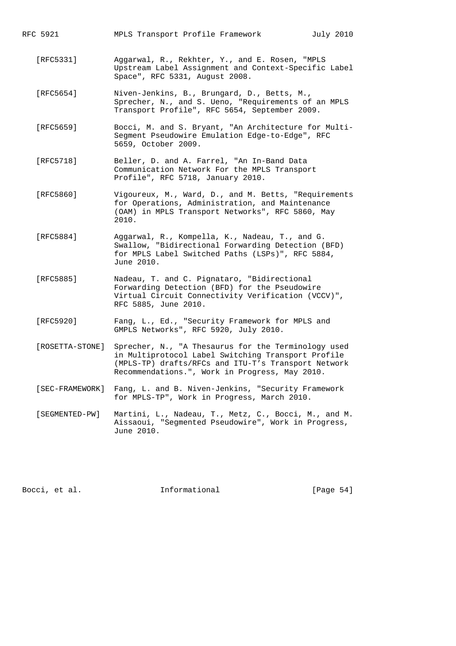- [RFC5331] Aggarwal, R., Rekhter, Y., and E. Rosen, "MPLS Upstream Label Assignment and Context-Specific Label Space", RFC 5331, August 2008.
- [RFC5654] Niven-Jenkins, B., Brungard, D., Betts, M., Sprecher, N., and S. Ueno, "Requirements of an MPLS Transport Profile", RFC 5654, September 2009.
- [RFC5659] Bocci, M. and S. Bryant, "An Architecture for Multi- Segment Pseudowire Emulation Edge-to-Edge", RFC 5659, October 2009.
- [RFC5718] Beller, D. and A. Farrel, "An In-Band Data Communication Network For the MPLS Transport Profile", RFC 5718, January 2010.
- [RFC5860] Vigoureux, M., Ward, D., and M. Betts, "Requirements for Operations, Administration, and Maintenance (OAM) in MPLS Transport Networks", RFC 5860, May 2010.
- [RFC5884] Aggarwal, R., Kompella, K., Nadeau, T., and G. Swallow, "Bidirectional Forwarding Detection (BFD) for MPLS Label Switched Paths (LSPs)", RFC 5884, June 2010.
	- [RFC5885] Nadeau, T. and C. Pignataro, "Bidirectional Forwarding Detection (BFD) for the Pseudowire Virtual Circuit Connectivity Verification (VCCV)", RFC 5885, June 2010.
	- [RFC5920] Fang, L., Ed., "Security Framework for MPLS and GMPLS Networks", RFC 5920, July 2010.
	- [ROSETTA-STONE] Sprecher, N., "A Thesaurus for the Terminology used in Multiprotocol Label Switching Transport Profile (MPLS-TP) drafts/RFCs and ITU-T's Transport Network Recommendations.", Work in Progress, May 2010.
	- [SEC-FRAMEWORK] Fang, L. and B. Niven-Jenkins, "Security Framework for MPLS-TP", Work in Progress, March 2010.
	- [SEGMENTED-PW] Martini, L., Nadeau, T., Metz, C., Bocci, M., and M. Aissaoui, "Segmented Pseudowire", Work in Progress, June 2010.

Bocci, et al. **Informational** [Page 54]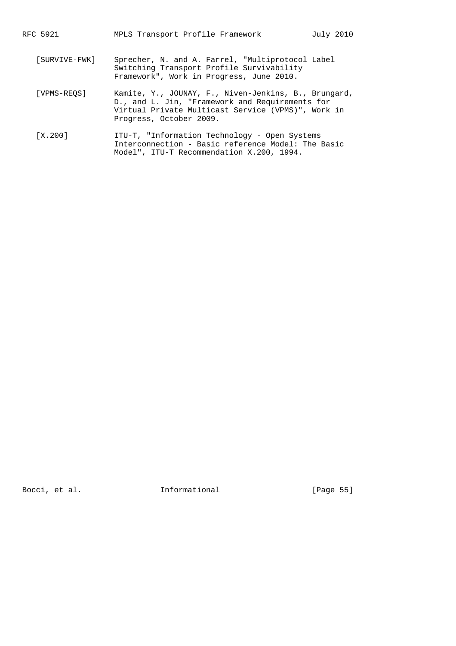- [SURVIVE-FWK] Sprecher, N. and A. Farrel, "Multiprotocol Label Switching Transport Profile Survivability Framework", Work in Progress, June 2010.
- [VPMS-REQS] Kamite, Y., JOUNAY, F., Niven-Jenkins, B., Brungard, D., and L. Jin, "Framework and Requirements for Virtual Private Multicast Service (VPMS)", Work in Progress, October 2009.
- [X.200] ITU-T, "Information Technology Open Systems Interconnection - Basic reference Model: The Basic Model", ITU-T Recommendation X.200, 1994.

Bocci, et al. 1nformational [Page 55]